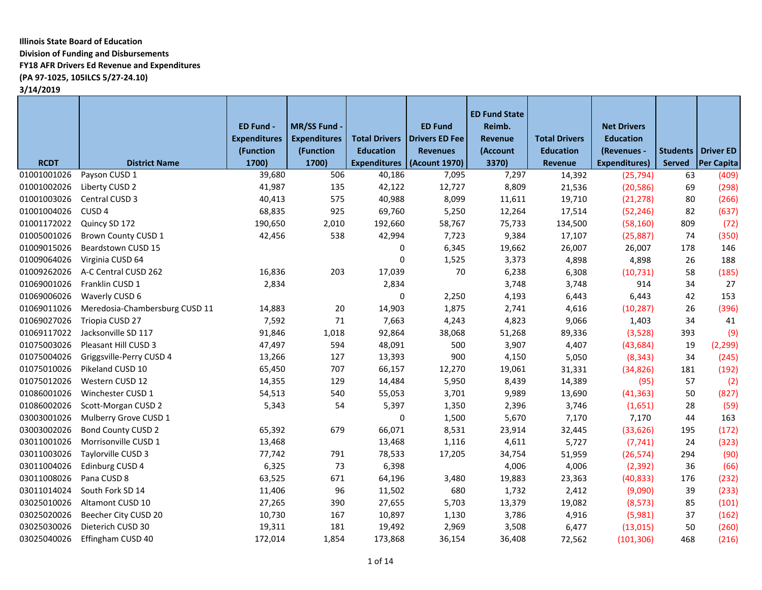# **Illinois State Board of Education Division of Funding and Disbursements FY18 AFR Drivers Ed Revenue and Expenditures (PA 97-1025, 105ILCS 5/27-24.10)**

**3/14/2019**

|             |                                | ED Fund -           | MR/SS Fund -        |                      | <b>ED Fund</b>  | <b>ED Fund State</b><br>Reimb. |                      | <b>Net Drivers</b>   |        |                             |
|-------------|--------------------------------|---------------------|---------------------|----------------------|-----------------|--------------------------------|----------------------|----------------------|--------|-----------------------------|
|             |                                | <b>Expenditures</b> | <b>Expenditures</b> | <b>Total Drivers</b> | Drivers ED Fee  | Revenue                        | <b>Total Drivers</b> | <b>Education</b>     |        |                             |
|             |                                | (Function           | (Function           | <b>Education</b>     | <b>Revenues</b> | (Account                       | <b>Education</b>     | (Revenues -          |        | <b>Students   Driver ED</b> |
| <b>RCDT</b> | <b>District Name</b>           | 1700)               | 1700)               | <b>Expenditures</b>  | (Acount 1970)   | 3370)                          | <b>Revenue</b>       | <b>Expenditures)</b> | Served | <b>Per Capita</b>           |
| 01001001026 | Payson CUSD 1                  | 39,680              | 506                 | 40,186               | 7,095           | 7,297                          | 14,392               | (25, 794)            | 63     | (409)                       |
| 01001002026 | Liberty CUSD 2                 | 41,987              | 135                 | 42,122               | 12,727          | 8,809                          | 21,536               | (20, 586)            | 69     | (298)                       |
| 01001003026 | Central CUSD 3                 | 40,413              | 575                 | 40,988               | 8,099           | 11,611                         | 19,710               | (21, 278)            | 80     | (266)                       |
| 01001004026 | CUSD <sub>4</sub>              | 68,835              | 925                 | 69,760               | 5,250           | 12,264                         | 17,514               | (52, 246)            | 82     | (637)                       |
| 01001172022 | Quincy SD 172                  | 190,650             | 2,010               | 192,660              | 58,767          | 75,733                         | 134,500              | (58, 160)            | 809    | (72)                        |
| 01005001026 | <b>Brown County CUSD 1</b>     | 42,456              | 538                 | 42,994               | 7,723           | 9,384                          | 17,107               | (25, 887)            | 74     | (350)                       |
| 01009015026 | Beardstown CUSD 15             |                     |                     | 0                    | 6,345           | 19,662                         | 26,007               | 26,007               | 178    | 146                         |
| 01009064026 | Virginia CUSD 64               |                     |                     | $\mathbf 0$          | 1,525           | 3,373                          | 4,898                | 4,898                | 26     | 188                         |
| 01009262026 | A-C Central CUSD 262           | 16,836              | 203                 | 17,039               | 70              | 6,238                          | 6,308                | (10, 731)            | 58     | (185)                       |
| 01069001026 | Franklin CUSD 1                | 2,834               |                     | 2,834                |                 | 3,748                          | 3,748                | 914                  | 34     | 27                          |
| 01069006026 | Waverly CUSD 6                 |                     |                     | $\mathbf 0$          | 2,250           | 4,193                          | 6,443                | 6,443                | 42     | 153                         |
| 01069011026 | Meredosia-Chambersburg CUSD 11 | 14,883              | 20                  | 14,903               | 1,875           | 2,741                          | 4,616                | (10, 287)            | 26     | (396)                       |
| 01069027026 | Triopia CUSD 27                | 7,592               | 71                  | 7,663                | 4,243           | 4,823                          | 9,066                | 1,403                | 34     | 41                          |
| 01069117022 | Jacksonville SD 117            | 91,846              | 1,018               | 92,864               | 38,068          | 51,268                         | 89,336               | (3,528)              | 393    | (9)                         |
| 01075003026 | Pleasant Hill CUSD 3           | 47,497              | 594                 | 48,091               | 500             | 3,907                          | 4,407                | (43, 684)            | 19     | (2, 299)                    |
| 01075004026 | Griggsville-Perry CUSD 4       | 13,266              | 127                 | 13,393               | 900             | 4,150                          | 5,050                | (8, 343)             | 34     | (245)                       |
| 01075010026 | Pikeland CUSD 10               | 65,450              | 707                 | 66,157               | 12,270          | 19,061                         | 31,331               | (34, 826)            | 181    | (192)                       |
| 01075012026 | Western CUSD 12                | 14,355              | 129                 | 14,484               | 5,950           | 8,439                          | 14,389               | (95)                 | 57     | (2)                         |
| 01086001026 | Winchester CUSD 1              | 54,513              | 540                 | 55,053               | 3,701           | 9,989                          | 13,690               | (41, 363)            | 50     | (827)                       |
| 01086002026 | Scott-Morgan CUSD 2            | 5,343               | 54                  | 5,397                | 1,350           | 2,396                          | 3,746                | (1,651)              | 28     | (59)                        |
| 03003001026 | Mulberry Grove CUSD 1          |                     |                     | 0                    | 1,500           | 5,670                          | 7,170                | 7,170                | 44     | 163                         |
| 03003002026 | <b>Bond County CUSD 2</b>      | 65,392              | 679                 | 66,071               | 8,531           | 23,914                         | 32,445               | (33, 626)            | 195    | (172)                       |
| 03011001026 | Morrisonville CUSD 1           | 13,468              |                     | 13,468               | 1,116           | 4,611                          | 5,727                | (7, 741)             | 24     | (323)                       |
| 03011003026 | Taylorville CUSD 3             | 77,742              | 791                 | 78,533               | 17,205          | 34,754                         | 51,959               | (26, 574)            | 294    | (90)                        |
| 03011004026 | Edinburg CUSD 4                | 6,325               | 73                  | 6,398                |                 | 4,006                          | 4,006                | (2, 392)             | 36     | (66)                        |
| 03011008026 | Pana CUSD 8                    | 63,525              | 671                 | 64,196               | 3,480           | 19,883                         | 23,363               | (40, 833)            | 176    | (232)                       |
| 03011014024 | South Fork SD 14               | 11,406              | 96                  | 11,502               | 680             | 1,732                          | 2,412                | (9,090)              | 39     | (233)                       |
| 03025010026 | Altamont CUSD 10               | 27,265              | 390                 | 27,655               | 5,703           | 13,379                         | 19,082               | (8, 573)             | 85     | (101)                       |
| 03025020026 | Beecher City CUSD 20           | 10,730              | 167                 | 10,897               | 1,130           | 3,786                          | 4,916                | (5,981)              | 37     | (162)                       |
| 03025030026 | Dieterich CUSD 30              | 19,311              | 181                 | 19,492               | 2,969           | 3,508                          | 6,477                | (13, 015)            | 50     | (260)                       |
| 03025040026 | Effingham CUSD 40              | 172,014             | 1,854               | 173,868              | 36,154          | 36,408                         | 72,562               | (101, 306)           | 468    | (216)                       |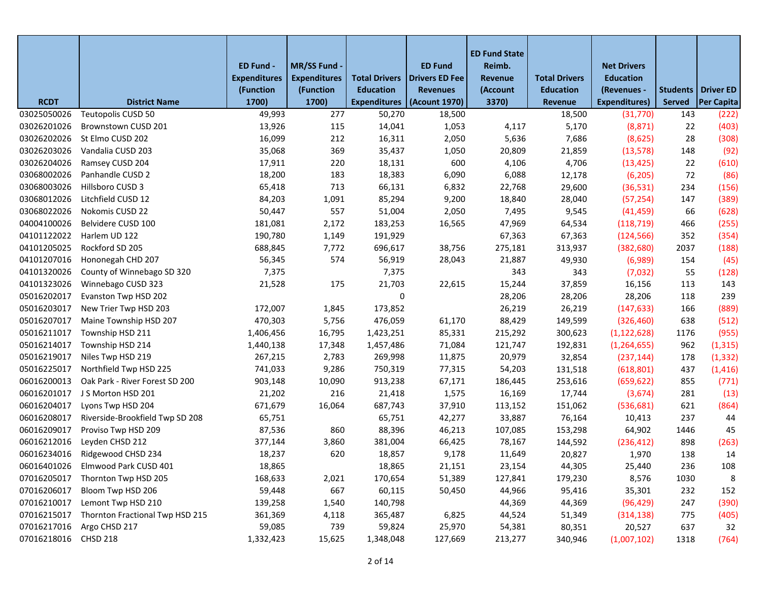|             |                                   |                     |                     |                      |                       | <b>ED Fund State</b> |                      |                      |               |                             |
|-------------|-----------------------------------|---------------------|---------------------|----------------------|-----------------------|----------------------|----------------------|----------------------|---------------|-----------------------------|
|             |                                   | ED Fund -           | MR/SS Fund -        |                      | <b>ED Fund</b>        | Reimb.               |                      | <b>Net Drivers</b>   |               |                             |
|             |                                   | <b>Expenditures</b> | <b>Expenditures</b> | <b>Total Drivers</b> | <b>Drivers ED Fee</b> | Revenue              | <b>Total Drivers</b> | <b>Education</b>     |               |                             |
|             |                                   | (Function           | (Function           | <b>Education</b>     | <b>Revenues</b>       | (Account             | <b>Education</b>     | (Revenues -          |               | <b>Students   Driver ED</b> |
| <b>RCDT</b> | <b>District Name</b>              | 1700)               | 1700)               | <b>Expenditures</b>  | (Acount 1970)         | 3370)                | Revenue              | <b>Expenditures)</b> | <b>Served</b> | Per Capita                  |
| 03025050026 | Teutopolis CUSD 50                | 49,993              | 277                 | 50,270               | 18,500                |                      | 18,500               | (31, 770)            | 143           | (222)                       |
| 03026201026 | Brownstown CUSD 201               | 13,926              | 115                 | 14,041               | 1,053                 | 4,117                | 5,170                | (8, 871)             | 22            | (403)                       |
| 03026202026 | St Elmo CUSD 202                  | 16,099              | 212                 | 16,311               | 2,050                 | 5,636                | 7,686                | (8,625)              | 28            | (308)                       |
| 03026203026 | Vandalia CUSD 203                 | 35,068              | 369                 | 35,437               | 1,050                 | 20,809               | 21,859               | (13, 578)            | 148           | (92)                        |
| 03026204026 | Ramsey CUSD 204                   | 17,911              | 220                 | 18,131               | 600                   | 4,106                | 4,706                | (13, 425)            | 22            | (610)                       |
| 03068002026 | Panhandle CUSD 2                  | 18,200              | 183                 | 18,383               | 6,090                 | 6,088                | 12,178               | (6, 205)             | 72            | (86)                        |
| 03068003026 | Hillsboro CUSD 3                  | 65,418              | 713                 | 66,131               | 6,832                 | 22,768               | 29,600               | (36, 531)            | 234           | (156)                       |
| 03068012026 | Litchfield CUSD 12                | 84,203              | 1,091               | 85,294               | 9,200                 | 18,840               | 28,040               | (57, 254)            | 147           | (389)                       |
| 03068022026 | Nokomis CUSD 22                   | 50,447              | 557                 | 51,004               | 2,050                 | 7,495                | 9,545                | (41, 459)            | 66            | (628)                       |
| 04004100026 | Belvidere CUSD 100                | 181,081             | 2,172               | 183,253              | 16,565                | 47,969               | 64,534               | (118, 719)           | 466           | (255)                       |
| 04101122022 | Harlem UD 122                     | 190,780             | 1,149               | 191,929              |                       | 67,363               | 67,363               | (124, 566)           | 352           | (354)                       |
| 04101205025 | Rockford SD 205                   | 688,845             | 7,772               | 696,617              | 38,756                | 275,181              | 313,937              | (382, 680)           | 2037          | (188)                       |
| 04101207016 | Hononegah CHD 207                 | 56,345              | 574                 | 56,919               | 28,043                | 21,887               | 49,930               | (6,989)              | 154           | (45)                        |
| 04101320026 | County of Winnebago SD 320        | 7,375               |                     | 7,375                |                       | 343                  | 343                  | (7,032)              | 55            | (128)                       |
| 04101323026 | Winnebago CUSD 323                | 21,528              | 175                 | 21,703               | 22,615                | 15,244               | 37,859               | 16,156               | 113           | 143                         |
| 05016202017 | Evanston Twp HSD 202              |                     |                     | $\Omega$             |                       | 28,206               | 28,206               | 28,206               | 118           | 239                         |
| 05016203017 | New Trier Twp HSD 203             | 172,007             | 1,845               | 173,852              |                       | 26,219               | 26,219               | (147, 633)           | 166           | (889)                       |
| 05016207017 | Maine Township HSD 207            | 470,303             | 5,756               | 476,059              | 61,170                | 88,429               | 149,599              | (326, 460)           | 638           | (512)                       |
| 05016211017 | Township HSD 211                  | 1,406,456           | 16,795              | 1,423,251            | 85,331                | 215,292              | 300,623              | (1, 122, 628)        | 1176          | (955)                       |
| 05016214017 | Township HSD 214                  | 1,440,138           | 17,348              | 1,457,486            | 71,084                | 121,747              | 192,831              | (1, 264, 655)        | 962           | (1, 315)                    |
| 05016219017 | Niles Twp HSD 219                 | 267,215             | 2,783               | 269,998              | 11,875                | 20,979               | 32,854               | (237, 144)           | 178           | (1, 332)                    |
| 05016225017 | Northfield Twp HSD 225            | 741,033             | 9,286               | 750,319              | 77,315                | 54,203               | 131,518              | (618, 801)           | 437           | (1, 416)                    |
| 06016200013 | Oak Park - River Forest SD 200    | 903,148             | 10,090              | 913,238              | 67,171                | 186,445              | 253,616              | (659, 622)           | 855           | (771)                       |
| 06016201017 | J S Morton HSD 201                | 21,202              | 216                 | 21,418               | 1,575                 | 16,169               | 17,744               | (3,674)              | 281           | (13)                        |
| 06016204017 | Lyons Twp HSD 204                 | 671,679             | 16,064              | 687,743              | 37,910                | 113,152              | 151,062              | (536, 681)           | 621           | (864)                       |
| 06016208017 | Riverside-Brookfield Twp SD 208   | 65,751              |                     | 65,751               | 42,277                | 33,887               | 76,164               | 10,413               | 237           | 44                          |
| 06016209017 | Proviso Twp HSD 209               | 87,536              | 860                 | 88,396               | 46,213                | 107,085              | 153,298              | 64,902               | 1446          | 45                          |
| 06016212016 | Leyden CHSD 212                   | 377,144             | 3,860               | 381,004              | 66,425                | 78,167               | 144,592              | (236, 412)           | 898           | (263)                       |
| 06016234016 | Ridgewood CHSD 234                | 18,237              | 620                 | 18,857               | 9,178                 | 11,649               | 20,827               | 1,970                | 138           | 14                          |
|             | 06016401026 Elmwood Park CUSD 401 | 18,865              |                     | 18,865               | 21,151                | 23,154               | 44,305               | 25,440               | 236           | 108                         |
| 07016205017 | Thornton Twp HSD 205              | 168,633             | 2,021               | 170,654              | 51,389                | 127,841              | 179,230              | 8,576                | 1030          | 8                           |
| 07016206017 | Bloom Twp HSD 206                 | 59,448              | 667                 | 60,115               | 50,450                | 44,966               | 95,416               | 35,301               | 232           | 152                         |
| 07016210017 | Lemont Twp HSD 210                | 139,258             | 1,540               | 140,798              |                       | 44,369               | 44,369               | (96, 429)            | 247           | (390)                       |
| 07016215017 | Thornton Fractional Twp HSD 215   | 361,369             | 4,118               | 365,487              | 6,825                 | 44,524               | 51,349               | (314, 138)           | 775           | (405)                       |
| 07016217016 | Argo CHSD 217                     | 59,085              | 739                 | 59,824               | 25,970                | 54,381               | 80,351               | 20,527               | 637           | 32                          |
| 07016218016 | <b>CHSD 218</b>                   | 1,332,423           | 15,625              | 1,348,048            | 127,669               | 213,277              | 340,946              | (1,007,102)          | 1318          | (764)                       |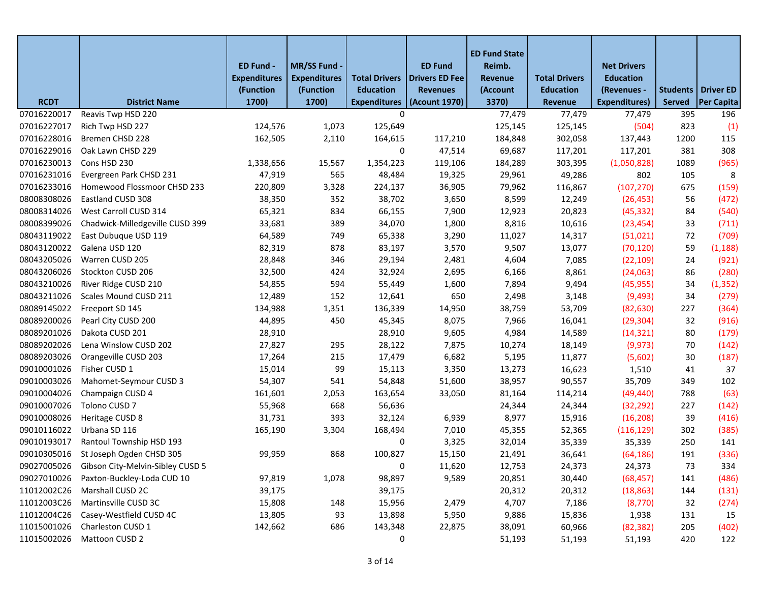|             |                                              | ED Fund -<br><b>Expenditures</b><br>(Function | MR/SS Fund -<br><b>Expenditures</b><br>(Function | <b>Total Drivers</b><br><b>Education</b> | <b>ED Fund</b><br>Drivers ED Fee<br><b>Revenues</b> | <b>ED Fund State</b><br>Reimb.<br>Revenue<br>(Account | <b>Total Drivers</b><br><b>Education</b> | <b>Net Drivers</b><br><b>Education</b><br>(Revenues - |               | Students   Driver ED |
|-------------|----------------------------------------------|-----------------------------------------------|--------------------------------------------------|------------------------------------------|-----------------------------------------------------|-------------------------------------------------------|------------------------------------------|-------------------------------------------------------|---------------|----------------------|
| <b>RCDT</b> | <b>District Name</b>                         | 1700)                                         | 1700)                                            | <b>Expenditures</b>                      | (Acount 1970)                                       | 3370)                                                 | <b>Revenue</b>                           | Expenditures)                                         | <b>Served</b> | <b>Per Capita</b>    |
| 07016220017 | Reavis Twp HSD 220                           |                                               |                                                  | $\mathbf 0$                              |                                                     | 77,479                                                | 77,479                                   | 77,479                                                | 395           | 196                  |
| 07016227017 | Rich Twp HSD 227                             | 124,576                                       | 1,073                                            | 125,649                                  |                                                     | 125,145                                               | 125,145                                  | (504)                                                 | 823           | (1)                  |
| 07016228016 | Bremen CHSD 228                              | 162,505                                       | 2,110                                            | 164,615                                  | 117,210                                             | 184,848                                               | 302,058                                  | 137,443                                               | 1200          | 115                  |
| 07016229016 | Oak Lawn CHSD 229                            |                                               |                                                  | 0                                        | 47,514                                              | 69,687                                                | 117,201                                  | 117,201                                               | 381           | 308                  |
| 07016230013 | Cons HSD 230                                 | 1,338,656                                     | 15,567                                           | 1,354,223                                | 119,106                                             | 184,289                                               | 303,395                                  | (1,050,828)                                           | 1089          | (965)                |
| 07016231016 | Evergreen Park CHSD 231                      | 47,919                                        | 565                                              | 48,484                                   | 19,325                                              | 29,961                                                | 49,286                                   | 802                                                   | 105           | 8                    |
| 07016233016 | Homewood Flossmoor CHSD 233                  | 220,809                                       | 3,328                                            | 224,137                                  | 36,905                                              | 79,962                                                | 116,867                                  | (107, 270)                                            | 675           | (159)                |
| 08008308026 | Eastland CUSD 308                            | 38,350                                        | 352                                              | 38,702                                   | 3,650                                               | 8,599                                                 | 12,249                                   | (26, 453)                                             | 56            | (472)                |
| 08008314026 | West Carroll CUSD 314                        | 65,321                                        | 834                                              | 66,155                                   | 7,900                                               | 12,923                                                | 20,823                                   | (45, 332)                                             | 84            | (540)                |
| 08008399026 | Chadwick-Milledgeville CUSD 399              | 33,681                                        | 389                                              | 34,070                                   | 1,800                                               | 8,816                                                 | 10,616                                   | (23, 454)                                             | 33            | (711)                |
| 08043119022 | East Dubuque USD 119                         | 64,589                                        | 749                                              | 65,338                                   | 3,290                                               | 11,027                                                | 14,317                                   | (51,021)                                              | 72            | (709)                |
| 08043120022 | Galena USD 120                               | 82,319                                        | 878                                              | 83,197                                   | 3,570                                               | 9,507                                                 | 13,077                                   | (70, 120)                                             | 59            | (1, 188)             |
| 08043205026 | Warren CUSD 205                              | 28,848                                        | 346                                              | 29,194                                   | 2,481                                               | 4,604                                                 | 7,085                                    | (22, 109)                                             | 24            | (921)                |
| 08043206026 | Stockton CUSD 206                            | 32,500                                        | 424                                              | 32,924                                   | 2,695                                               | 6,166                                                 | 8,861                                    | (24,063)                                              | 86            | (280)                |
| 08043210026 | River Ridge CUSD 210                         | 54,855                                        | 594                                              | 55,449                                   | 1,600                                               | 7,894                                                 | 9,494                                    | (45, 955)                                             | 34            | (1, 352)             |
| 08043211026 | Scales Mound CUSD 211                        | 12,489                                        | 152                                              | 12,641                                   | 650                                                 | 2,498                                                 | 3,148                                    | (9,493)                                               | 34            | (279)                |
| 08089145022 | Freeport SD 145                              | 134,988                                       | 1,351                                            | 136,339                                  | 14,950                                              | 38,759                                                | 53,709                                   | (82, 630)                                             | 227           | (364)                |
| 08089200026 | Pearl City CUSD 200                          | 44,895                                        | 450                                              | 45,345                                   | 8,075                                               | 7,966                                                 | 16,041                                   | (29, 304)                                             | 32            | (916)                |
| 08089201026 | Dakota CUSD 201                              | 28,910                                        |                                                  | 28,910                                   | 9,605                                               | 4,984                                                 | 14,589                                   | (14, 321)                                             | 80            | (179)                |
| 08089202026 | Lena Winslow CUSD 202                        | 27,827                                        | 295                                              | 28,122                                   | 7,875                                               | 10,274                                                | 18,149                                   | (9, 973)                                              | 70            | (142)                |
| 08089203026 | Orangeville CUSD 203                         | 17,264                                        | 215                                              | 17,479                                   | 6,682                                               | 5,195                                                 | 11,877                                   | (5,602)                                               | 30            | (187)                |
| 09010001026 | Fisher CUSD 1                                | 15,014                                        | 99                                               | 15,113                                   | 3,350                                               | 13,273                                                | 16,623                                   | 1,510                                                 | 41            | 37                   |
| 09010003026 | Mahomet-Seymour CUSD 3                       | 54,307                                        | 541                                              | 54,848                                   | 51,600                                              | 38,957                                                | 90,557                                   | 35,709                                                | 349           | 102                  |
| 09010004026 | Champaign CUSD 4                             | 161,601                                       | 2,053                                            | 163,654                                  | 33,050                                              | 81,164                                                | 114,214                                  | (49, 440)                                             | 788           | (63)                 |
| 09010007026 | Tolono CUSD 7                                | 55,968                                        | 668                                              | 56,636                                   |                                                     | 24,344                                                | 24,344                                   | (32, 292)                                             | 227           | (142)                |
| 09010008026 | Heritage CUSD 8                              | 31,731                                        | 393                                              | 32,124                                   | 6,939                                               | 8,977                                                 | 15,916                                   | (16, 208)                                             | 39            | (416)                |
| 09010116022 | Urbana SD 116                                | 165,190                                       | 3,304                                            | 168,494                                  | 7,010                                               | 45,355                                                | 52,365                                   | (116, 129)                                            | 302           | (385)                |
| 09010193017 | Rantoul Township HSD 193                     |                                               |                                                  | 0                                        | 3,325                                               | 32,014                                                | 35,339                                   | 35,339                                                | 250           | 141                  |
| 09010305016 | St Joseph Ogden CHSD 305                     | 99,959                                        | 868                                              | 100,827                                  | 15,150                                              | 21,491                                                | 36,641                                   | (64, 186)                                             | 191           | (336)                |
|             | 09027005026 Gibson City-Melvin-Sibley CUSD 5 |                                               |                                                  | 0                                        | 11,620                                              | 12,753                                                | 24,373                                   | 24,373                                                | 73            | 334                  |
| 09027010026 | Paxton-Buckley-Loda CUD 10                   | 97,819                                        | 1,078                                            | 98,897                                   | 9,589                                               | 20,851                                                | 30,440                                   | (68, 457)                                             | 141           | (486)                |
| 11012002C26 | Marshall CUSD 2C                             | 39,175                                        |                                                  | 39,175                                   |                                                     | 20,312                                                | 20,312                                   | (18, 863)                                             | 144           | (131)                |
| 11012003C26 | Martinsville CUSD 3C                         | 15,808                                        | 148                                              | 15,956                                   | 2,479                                               | 4,707                                                 | 7,186                                    | (8,770)                                               | 32            | (274)                |
| 11012004C26 | Casey-Westfield CUSD 4C                      | 13,805                                        | 93                                               | 13,898                                   | 5,950                                               | 9,886                                                 | 15,836                                   | 1,938                                                 | 131           | 15                   |
| 11015001026 | Charleston CUSD 1                            | 142,662                                       | 686                                              | 143,348                                  | 22,875                                              | 38,091                                                | 60,966                                   | (82, 382)                                             | 205           | (402)                |
| 11015002026 | Mattoon CUSD 2                               |                                               |                                                  | 0                                        |                                                     | 51,193                                                | 51,193                                   | 51,193                                                | 420           | 122                  |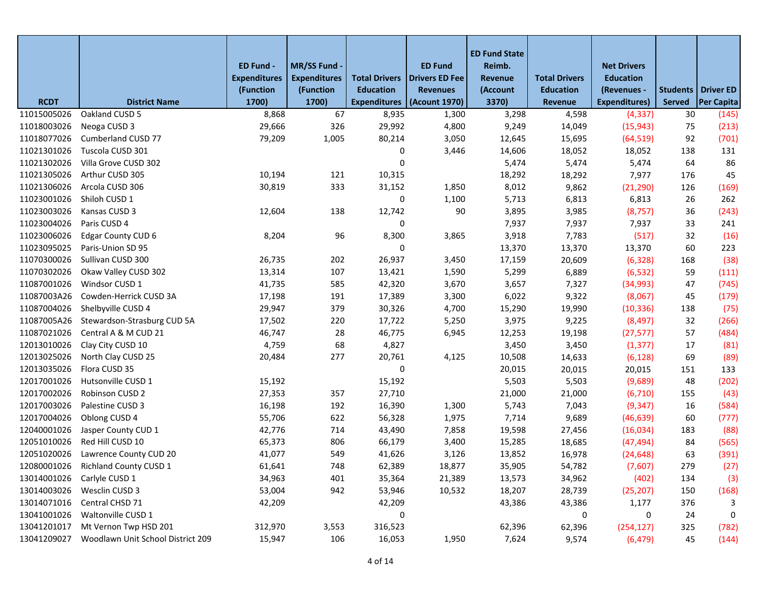|             |                                   |                                  |                                  |                                          |                                          | <b>ED Fund State</b>       |                                          |                                 |               |                             |
|-------------|-----------------------------------|----------------------------------|----------------------------------|------------------------------------------|------------------------------------------|----------------------------|------------------------------------------|---------------------------------|---------------|-----------------------------|
|             |                                   | ED Fund -<br><b>Expenditures</b> | MR/SS Fund -                     |                                          | <b>ED Fund</b>                           | Reimb.                     |                                          | <b>Net Drivers</b>              |               |                             |
|             |                                   | (Function                        | <b>Expenditures</b><br>(Function | <b>Total Drivers</b><br><b>Education</b> | <b>Drivers ED Fee</b><br><b>Revenues</b> | <b>Revenue</b><br>(Account | <b>Total Drivers</b><br><b>Education</b> | <b>Education</b><br>(Revenues - |               | <b>Students   Driver ED</b> |
| <b>RCDT</b> | <b>District Name</b>              | 1700)                            | 1700)                            | <b>Expenditures</b>                      | (Acount 1970)                            | 3370)                      | Revenue                                  | <b>Expenditures)</b>            | <b>Served</b> | Per Capita                  |
| 11015005026 | Oakland CUSD 5                    | 8,868                            | 67                               | 8,935                                    | 1,300                                    | 3,298                      | 4,598                                    | (4, 337)                        | 30            | (145)                       |
| 11018003026 | Neoga CUSD 3                      | 29,666                           | 326                              | 29,992                                   | 4,800                                    | 9,249                      | 14,049                                   | (15, 943)                       | 75            | (213)                       |
| 11018077026 | Cumberland CUSD 77                | 79,209                           | 1,005                            | 80,214                                   | 3,050                                    | 12,645                     | 15,695                                   | (64, 519)                       | 92            | (701)                       |
| 11021301026 | Tuscola CUSD 301                  |                                  |                                  | 0                                        | 3,446                                    | 14,606                     | 18,052                                   | 18,052                          | 138           | 131                         |
| 11021302026 | Villa Grove CUSD 302              |                                  |                                  | 0                                        |                                          | 5,474                      | 5,474                                    | 5,474                           | 64            | 86                          |
| 11021305026 | Arthur CUSD 305                   | 10,194                           | 121                              | 10,315                                   |                                          | 18,292                     | 18,292                                   | 7,977                           | 176           | 45                          |
| 11021306026 | Arcola CUSD 306                   | 30,819                           | 333                              | 31,152                                   | 1,850                                    | 8,012                      | 9,862                                    | (21, 290)                       | 126           | (169)                       |
| 11023001026 | Shiloh CUSD 1                     |                                  |                                  | 0                                        | 1,100                                    | 5,713                      | 6,813                                    | 6,813                           | 26            | 262                         |
| 11023003026 | Kansas CUSD 3                     | 12,604                           | 138                              | 12,742                                   | 90                                       | 3,895                      | 3,985                                    | (8, 757)                        | 36            | (243)                       |
| 11023004026 | Paris CUSD 4                      |                                  |                                  | 0                                        |                                          | 7,937                      | 7,937                                    | 7,937                           | 33            | 241                         |
| 11023006026 | Edgar County CUD 6                | 8,204                            | 96                               | 8,300                                    | 3,865                                    | 3,918                      | 7,783                                    | (517)                           | 32            | (16)                        |
| 11023095025 | Paris-Union SD 95                 |                                  |                                  | 0                                        |                                          | 13,370                     | 13,370                                   | 13,370                          | 60            | 223                         |
| 11070300026 | Sullivan CUSD 300                 | 26,735                           | 202                              | 26,937                                   | 3,450                                    | 17,159                     | 20,609                                   | (6, 328)                        | 168           | (38)                        |
| 11070302026 | Okaw Valley CUSD 302              | 13,314                           | 107                              | 13,421                                   | 1,590                                    | 5,299                      | 6,889                                    | (6, 532)                        | 59            | (111)                       |
| 11087001026 | Windsor CUSD 1                    | 41,735                           | 585                              | 42,320                                   | 3,670                                    | 3,657                      | 7,327                                    | (34,993)                        | 47            | (745)                       |
| 11087003A26 | Cowden-Herrick CUSD 3A            | 17,198                           | 191                              | 17,389                                   | 3,300                                    | 6,022                      | 9,322                                    | (8,067)                         | 45            | (179)                       |
| 11087004026 | Shelbyville CUSD 4                | 29,947                           | 379                              | 30,326                                   | 4,700                                    | 15,290                     | 19,990                                   | (10, 336)                       | 138           | (75)                        |
| 11087005A26 | Stewardson-Strasburg CUD 5A       | 17,502                           | 220                              | 17,722                                   | 5,250                                    | 3,975                      | 9,225                                    | (8, 497)                        | 32            | (266)                       |
| 11087021026 | Central A & M CUD 21              | 46,747                           | 28                               | 46,775                                   | 6,945                                    | 12,253                     | 19,198                                   | (27, 577)                       | 57            | (484)                       |
| 12013010026 | Clay City CUSD 10                 | 4,759                            | 68                               | 4,827                                    |                                          | 3,450                      | 3,450                                    | (1, 377)                        | 17            | (81)                        |
| 12013025026 | North Clay CUSD 25                | 20,484                           | 277                              | 20,761                                   | 4,125                                    | 10,508                     | 14,633                                   | (6, 128)                        | 69            | (89)                        |
| 12013035026 | Flora CUSD 35                     |                                  |                                  | 0                                        |                                          | 20,015                     | 20,015                                   | 20,015                          | 151           | 133                         |
| 12017001026 | Hutsonville CUSD 1                | 15,192                           |                                  | 15,192                                   |                                          | 5,503                      | 5,503                                    | (9,689)                         | 48            | (202)                       |
| 12017002026 | Robinson CUSD 2                   | 27,353                           | 357                              | 27,710                                   |                                          | 21,000                     | 21,000                                   | (6, 710)                        | 155           | (43)                        |
| 12017003026 | Palestine CUSD 3                  | 16,198                           | 192                              | 16,390                                   | 1,300                                    | 5,743                      | 7,043                                    | (9, 347)                        | 16            | (584)                       |
| 12017004026 | Oblong CUSD 4                     | 55,706                           | 622                              | 56,328                                   | 1,975                                    | 7,714                      | 9,689                                    | (46, 639)                       | 60            | (777)                       |
| 12040001026 | Jasper County CUD 1               | 42,776                           | 714                              | 43,490                                   | 7,858                                    | 19,598                     | 27,456                                   | (16,034)                        | 183           | (88)                        |
| 12051010026 | Red Hill CUSD 10                  | 65,373                           | 806                              | 66,179                                   | 3,400                                    | 15,285                     | 18,685                                   | (47, 494)                       | 84            | (565)                       |
| 12051020026 | Lawrence County CUD 20            | 41,077                           | 549                              | 41,626                                   | 3,126                                    | 13,852                     | 16,978                                   | (24, 648)                       | 63            | (391)                       |
| 12080001026 | <b>Richland County CUSD 1</b>     | 61,641                           | 748                              | 62,389                                   | 18,877                                   | 35,905                     | 54,782                                   | (7,607)                         | 279           | (27)                        |
| 13014001026 | Carlyle CUSD 1                    | 34,963                           | 401                              | 35,364                                   | 21,389                                   | 13,573                     | 34,962                                   | (402)                           | 134           | (3)                         |
| 13014003026 | Wesclin CUSD 3                    | 53,004                           | 942                              | 53,946                                   | 10,532                                   | 18,207                     | 28,739                                   | (25, 207)                       | 150           | (168)                       |
| 13014071016 | Central CHSD 71                   | 42,209                           |                                  | 42,209                                   |                                          | 43,386                     | 43,386                                   | 1,177                           | 376           | 3                           |
| 13041001026 | Waltonville CUSD 1                |                                  |                                  | 0                                        |                                          |                            | 0                                        | 0                               | 24            | 0                           |
| 13041201017 | Mt Vernon Twp HSD 201             | 312,970                          | 3,553                            | 316,523                                  |                                          | 62,396                     | 62,396                                   | (254, 127)                      | 325           | (782)                       |
| 13041209027 | Woodlawn Unit School District 209 | 15,947                           | 106                              | 16,053                                   | 1,950                                    | 7,624                      | 9,574                                    | (6, 479)                        | 45            | (144)                       |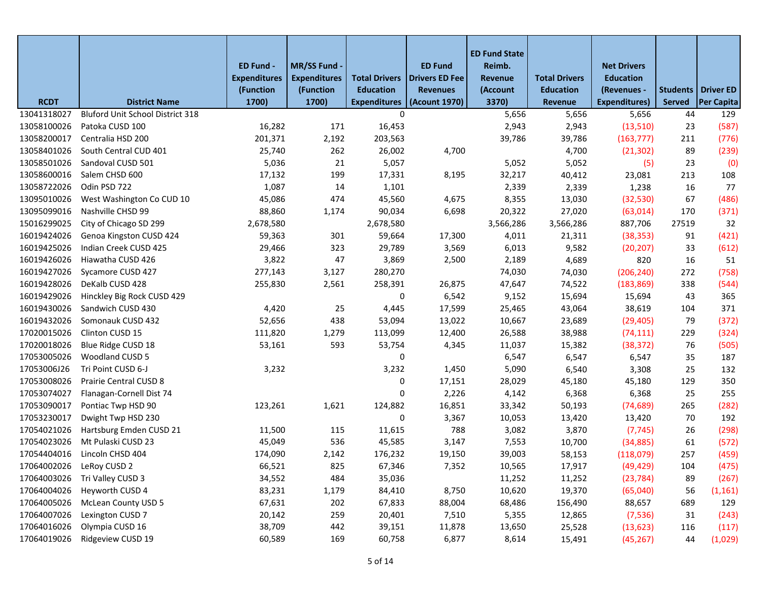|                          |                                  | ED Fund -                        | <b>MR/SS Fund</b>                |                                          | <b>ED Fund</b>                           | <b>ED Fund State</b><br>Reimb. |                                          | <b>Net Drivers</b>              |        |                      |
|--------------------------|----------------------------------|----------------------------------|----------------------------------|------------------------------------------|------------------------------------------|--------------------------------|------------------------------------------|---------------------------------|--------|----------------------|
|                          |                                  | <b>Expenditures</b><br>(Function | <b>Expenditures</b><br>(Function | <b>Total Drivers</b><br><b>Education</b> | <b>Drivers ED Fee</b><br><b>Revenues</b> | Revenue<br>(Account            | <b>Total Drivers</b><br><b>Education</b> | <b>Education</b><br>(Revenues - |        | Students   Driver ED |
| <b>RCDT</b>              | <b>District Name</b>             | 1700)                            | 1700)                            | <b>Expenditures</b>                      | (Acount 1970)                            | 3370)                          | Revenue                                  | <b>Expenditures)</b>            | Served | <b>Per Capita</b>    |
| 13041318027              | Bluford Unit School District 318 |                                  |                                  | 0                                        |                                          | 5,656                          | 5,656                                    | 5,656                           | 44     | 129                  |
| 13058100026              | Patoka CUSD 100                  | 16,282                           | 171                              | 16,453                                   |                                          | 2,943                          | 2,943                                    | (13,510)                        | 23     | (587)                |
| 13058200017              | Centralia HSD 200                | 201,371                          | 2,192                            | 203,563                                  |                                          | 39,786                         | 39,786                                   | (163, 777)                      | 211    | (776)                |
| 13058401026              | South Central CUD 401            | 25,740                           | 262                              | 26,002                                   | 4,700                                    |                                | 4,700                                    | (21, 302)                       | 89     | (239)                |
| 13058501026              | Sandoval CUSD 501                | 5,036                            | 21                               | 5,057                                    |                                          | 5,052                          | 5,052                                    | (5)                             | 23     | (0)                  |
| 13058600016              | Salem CHSD 600                   | 17,132                           | 199                              | 17,331                                   | 8,195                                    | 32,217                         | 40,412                                   | 23,081                          | 213    | 108                  |
| 13058722026              | Odin PSD 722                     | 1,087                            | 14                               | 1,101                                    |                                          | 2,339                          | 2,339                                    | 1,238                           | 16     | 77                   |
| 13095010026              | West Washington Co CUD 10        | 45,086                           | 474                              | 45,560                                   | 4,675                                    | 8,355                          | 13,030                                   | (32, 530)                       | 67     | (486)                |
| 13095099016              | Nashville CHSD 99                | 88,860                           | 1,174                            | 90,034                                   | 6,698                                    | 20,322                         | 27,020                                   | (63, 014)                       | 170    | (371)                |
| 15016299025              | City of Chicago SD 299           | 2,678,580                        |                                  | 2,678,580                                |                                          | 3,566,286                      | 3,566,286                                | 887,706                         | 27519  | 32                   |
| 16019424026              | Genoa Kingston CUSD 424          | 59,363                           | 301                              | 59,664                                   | 17,300                                   | 4,011                          | 21,311                                   | (38, 353)                       | 91     | (421)                |
| 16019425026              | Indian Creek CUSD 425            | 29,466                           | 323                              | 29,789                                   | 3,569                                    | 6,013                          | 9,582                                    | (20, 207)                       | 33     | (612)                |
| 16019426026              | Hiawatha CUSD 426                | 3,822                            | 47                               | 3,869                                    | 2,500                                    | 2,189                          | 4,689                                    | 820                             | 16     | 51                   |
| 16019427026              | Sycamore CUSD 427                | 277,143                          | 3,127                            | 280,270                                  |                                          | 74,030                         | 74,030                                   | (206, 240)                      | 272    | (758)                |
| 16019428026              | DeKalb CUSD 428                  | 255,830                          | 2,561                            | 258,391                                  | 26,875                                   | 47,647                         | 74,522                                   | (183, 869)                      | 338    | (544)                |
| 16019429026              | Hinckley Big Rock CUSD 429       |                                  |                                  | 0                                        | 6,542                                    | 9,152                          | 15,694                                   | 15,694                          | 43     | 365                  |
| 16019430026              | Sandwich CUSD 430                | 4,420                            | 25                               | 4,445                                    | 17,599                                   | 25,465                         | 43,064                                   | 38,619                          | 104    | 371                  |
| 16019432026              | Somonauk CUSD 432                | 52,656                           | 438                              | 53,094                                   | 13,022                                   | 10,667                         | 23,689                                   | (29, 405)                       | 79     | (372)                |
| 17020015026              | Clinton CUSD 15                  | 111,820                          | 1,279                            | 113,099                                  | 12,400                                   | 26,588                         | 38,988                                   | (74, 111)                       | 229    | (324)                |
| 17020018026              | Blue Ridge CUSD 18               | 53,161                           | 593                              | 53,754                                   | 4,345                                    | 11,037                         | 15,382                                   | (38, 372)                       | 76     | (505)                |
| 17053005026              | Woodland CUSD 5                  |                                  |                                  | 0                                        |                                          | 6,547                          | 6,547                                    | 6,547                           | 35     | 187                  |
| 17053006J26              | Tri Point CUSD 6-J               | 3,232                            |                                  | 3,232                                    | 1,450                                    | 5,090                          | 6,540                                    | 3,308                           | 25     | 132                  |
| 17053008026              | Prairie Central CUSD 8           |                                  |                                  | 0                                        | 17,151                                   | 28,029                         | 45,180                                   | 45,180                          | 129    | 350                  |
| 17053074027              | Flanagan-Cornell Dist 74         |                                  |                                  | 0                                        | 2,226                                    | 4,142                          | 6,368                                    | 6,368                           | 25     | 255                  |
| 17053090017              | Pontiac Twp HSD 90               | 123,261                          | 1,621                            | 124,882                                  | 16,851                                   | 33,342                         | 50,193                                   | (74, 689)                       | 265    | (282)                |
| 17053230017              | Dwight Twp HSD 230               |                                  |                                  | 0                                        | 3,367                                    | 10,053                         | 13,420                                   | 13,420                          | 70     | 192                  |
| 17054021026              | Hartsburg Emden CUSD 21          | 11,500                           | 115                              | 11,615                                   | 788                                      | 3,082                          | 3,870                                    | (7, 745)                        | 26     | (298)                |
| 17054023026              | Mt Pulaski CUSD 23               | 45,049                           | 536                              | 45,585                                   | 3,147                                    | 7,553                          | 10,700                                   | (34, 885)                       | 61     | (572)                |
| 17054404016              | Lincoln CHSD 404                 | 174,090                          | 2,142                            | 176,232                                  | 19,150                                   | 39,003                         | 58,153                                   | (118,079)                       | 257    | (459)                |
| 17064002026 LeRoy CUSD 2 |                                  | 66,521                           | 825                              | 67,346                                   | 7,352                                    | 10,565                         | 17,917                                   | (49, 429)                       | 104    | (475)                |
| 17064003026              | Tri Valley CUSD 3                | 34,552                           | 484                              | 35,036                                   |                                          | 11,252                         | 11,252                                   | (23, 784)                       | 89     | (267)                |
| 17064004026              | Heyworth CUSD 4                  | 83,231                           | 1,179                            | 84,410                                   | 8,750                                    | 10,620                         | 19,370                                   | (65,040)                        | 56     | (1, 161)             |
| 17064005026              | <b>McLean County USD 5</b>       | 67,631                           | 202                              | 67,833                                   | 88,004                                   | 68,486                         | 156,490                                  | 88,657                          | 689    | 129                  |
| 17064007026              | Lexington CUSD 7                 | 20,142                           | 259                              | 20,401                                   | 7,510                                    | 5,355                          | 12,865                                   | (7, 536)                        | 31     | (243)                |
| 17064016026              | Olympia CUSD 16                  | 38,709                           | 442                              | 39,151                                   | 11,878                                   | 13,650                         | 25,528                                   | (13, 623)                       | 116    | (117)                |
| 17064019026              | Ridgeview CUSD 19                | 60,589                           | 169                              | 60,758                                   | 6,877                                    | 8,614                          | 15,491                                   | (45, 267)                       | 44     | (1,029)              |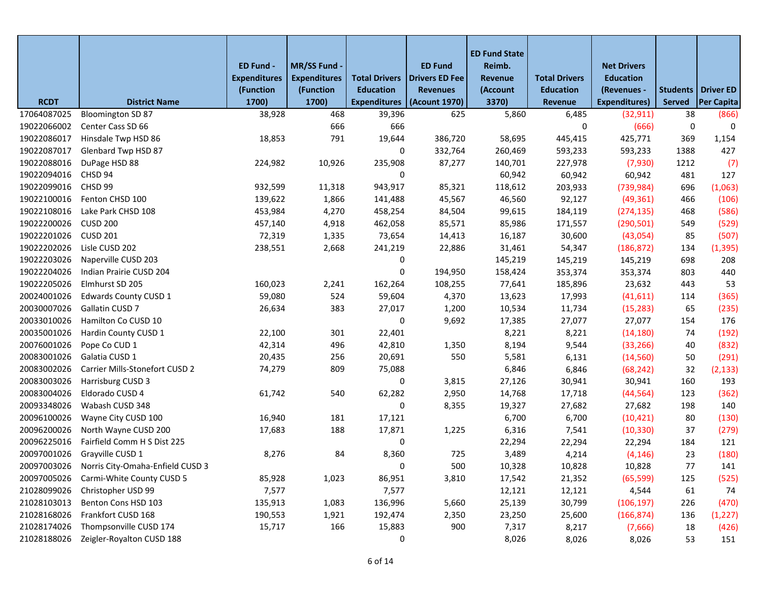|             |                                              | ED Fund -<br><b>Expenditures</b><br>(Function | MR/SS Fund -<br><b>Expenditures</b><br>(Function | <b>Total Drivers</b><br><b>Education</b> | <b>ED Fund</b><br><b>Drivers ED Fee</b><br><b>Revenues</b> | <b>ED Fund State</b><br>Reimb.<br>Revenue<br>(Account | <b>Total Drivers</b><br><b>Education</b> | <b>Net Drivers</b><br><b>Education</b><br>(Revenues - |               | Students   Driver ED |
|-------------|----------------------------------------------|-----------------------------------------------|--------------------------------------------------|------------------------------------------|------------------------------------------------------------|-------------------------------------------------------|------------------------------------------|-------------------------------------------------------|---------------|----------------------|
| <b>RCDT</b> | <b>District Name</b>                         | 1700)                                         | 1700)                                            | <b>Expenditures</b>                      | (Acount 1970)                                              | 3370)                                                 | Revenue                                  | <b>Expenditures)</b>                                  | <b>Served</b> | <b>Per Capita</b>    |
| 17064087025 | <b>Bloomington SD 87</b>                     | 38,928                                        | 468                                              | 39,396                                   | 625                                                        | 5,860                                                 | 6,485                                    | (32, 911)                                             | 38            | (866)                |
| 19022066002 | Center Cass SD 66                            |                                               | 666                                              | 666                                      |                                                            |                                                       | 0                                        | (666)                                                 | 0             | 0                    |
| 19022086017 | Hinsdale Twp HSD 86                          | 18,853                                        | 791                                              | 19,644                                   | 386,720                                                    | 58,695                                                | 445,415                                  | 425,771                                               | 369           | 1,154                |
| 19022087017 | Glenbard Twp HSD 87                          |                                               |                                                  | 0                                        | 332,764                                                    | 260,469                                               | 593,233                                  | 593,233                                               | 1388          | 427                  |
| 19022088016 | DuPage HSD 88                                | 224,982                                       | 10,926                                           | 235,908                                  | 87,277                                                     | 140,701                                               | 227,978                                  | (7,930)                                               | 1212          | (7)                  |
| 19022094016 | CHSD 94                                      |                                               |                                                  | 0                                        |                                                            | 60,942                                                | 60,942                                   | 60,942                                                | 481           | 127                  |
| 19022099016 | CHSD 99                                      | 932,599                                       | 11,318                                           | 943,917                                  | 85,321                                                     | 118,612                                               | 203,933                                  | (739, 984)                                            | 696           | (1,063)              |
| 19022100016 | Fenton CHSD 100                              | 139,622                                       | 1,866                                            | 141,488                                  | 45,567                                                     | 46,560                                                | 92,127                                   | (49, 361)                                             | 466           | (106)                |
| 19022108016 | Lake Park CHSD 108                           | 453,984                                       | 4,270                                            | 458,254                                  | 84,504                                                     | 99,615                                                | 184,119                                  | (274, 135)                                            | 468           | (586)                |
| 19022200026 | <b>CUSD 200</b>                              | 457,140                                       | 4,918                                            | 462,058                                  | 85,571                                                     | 85,986                                                | 171,557                                  | (290, 501)                                            | 549           | (529)                |
| 19022201026 | <b>CUSD 201</b>                              | 72,319                                        | 1,335                                            | 73,654                                   | 14,413                                                     | 16,187                                                | 30,600                                   | (43,054)                                              | 85            | (507)                |
| 19022202026 | Lisle CUSD 202                               | 238,551                                       | 2,668                                            | 241,219                                  | 22,886                                                     | 31,461                                                | 54,347                                   | (186, 872)                                            | 134           | (1, 395)             |
| 19022203026 | Naperville CUSD 203                          |                                               |                                                  | 0                                        |                                                            | 145,219                                               | 145,219                                  | 145,219                                               | 698           | 208                  |
| 19022204026 | Indian Prairie CUSD 204                      |                                               |                                                  | 0                                        | 194,950                                                    | 158,424                                               | 353,374                                  | 353,374                                               | 803           | 440                  |
| 19022205026 | Elmhurst SD 205                              | 160,023                                       | 2,241                                            | 162,264                                  | 108,255                                                    | 77,641                                                | 185,896                                  | 23,632                                                | 443           | 53                   |
| 20024001026 | <b>Edwards County CUSD 1</b>                 | 59,080                                        | 524                                              | 59,604                                   | 4,370                                                      | 13,623                                                | 17,993                                   | (41, 611)                                             | 114           | (365)                |
| 20030007026 | Gallatin CUSD 7                              | 26,634                                        | 383                                              | 27,017                                   | 1,200                                                      | 10,534                                                | 11,734                                   | (15, 283)                                             | 65            | (235)                |
| 20033010026 | Hamilton Co CUSD 10                          |                                               |                                                  | 0                                        | 9,692                                                      | 17,385                                                | 27,077                                   | 27,077                                                | 154           | 176                  |
| 20035001026 | Hardin County CUSD 1                         | 22,100                                        | 301                                              | 22,401                                   |                                                            | 8,221                                                 | 8,221                                    | (14, 180)                                             | 74            | (192)                |
| 20076001026 | Pope Co CUD 1                                | 42,314                                        | 496                                              | 42,810                                   | 1,350                                                      | 8,194                                                 | 9,544                                    | (33, 266)                                             | 40            | (832)                |
| 20083001026 | Galatia CUSD 1                               | 20,435                                        | 256                                              | 20,691                                   | 550                                                        | 5,581                                                 | 6,131                                    | (14, 560)                                             | 50            | (291)                |
| 20083002026 | Carrier Mills-Stonefort CUSD 2               | 74,279                                        | 809                                              | 75,088                                   |                                                            | 6,846                                                 | 6,846                                    | (68, 242)                                             | 32            | (2, 133)             |
| 20083003026 | Harrisburg CUSD 3                            |                                               |                                                  | 0                                        | 3,815                                                      | 27,126                                                | 30,941                                   | 30,941                                                | 160           | 193                  |
| 20083004026 | Eldorado CUSD 4                              | 61,742                                        | 540                                              | 62,282                                   | 2,950                                                      | 14,768                                                | 17,718                                   | (44, 564)                                             | 123           | (362)                |
| 20093348026 | Wabash CUSD 348                              |                                               |                                                  | 0                                        | 8,355                                                      | 19,327                                                | 27,682                                   | 27,682                                                | 198           | 140                  |
| 20096100026 | Wayne City CUSD 100                          | 16,940                                        | 181                                              | 17,121                                   |                                                            | 6,700                                                 | 6,700                                    | (10, 421)                                             | 80            | (130)                |
| 20096200026 | North Wayne CUSD 200                         | 17,683                                        | 188                                              | 17,871                                   | 1,225                                                      | 6,316                                                 | 7,541                                    | (10, 330)                                             | 37            | (279)                |
| 20096225016 | Fairfield Comm H S Dist 225                  |                                               |                                                  | 0                                        |                                                            | 22,294                                                | 22,294                                   | 22,294                                                | 184           | 121                  |
| 20097001026 | Grayville CUSD 1                             | 8,276                                         | 84                                               | 8,360                                    | 725                                                        | 3,489                                                 | 4,214                                    | (4, 146)                                              | 23            | (180)                |
|             | 20097003026 Norris City-Omaha-Enfield CUSD 3 |                                               |                                                  | 0                                        | 500                                                        | 10,328                                                | 10,828                                   | 10,828                                                | 77            | 141                  |
| 20097005026 | Carmi-White County CUSD 5                    | 85,928                                        | 1,023                                            | 86,951                                   | 3,810                                                      | 17,542                                                | 21,352                                   | (65, 599)                                             | 125           | (525)                |
| 21028099026 | Christopher USD 99                           | 7,577                                         |                                                  | 7,577                                    |                                                            | 12,121                                                | 12,121                                   | 4,544                                                 | 61            | 74                   |
| 21028103013 | Benton Cons HSD 103                          | 135,913                                       | 1,083                                            | 136,996                                  | 5,660                                                      | 25,139                                                | 30,799                                   | (106, 197)                                            | 226           | (470)                |
| 21028168026 | Frankfort CUSD 168                           | 190,553                                       | 1,921                                            | 192,474                                  | 2,350                                                      | 23,250                                                | 25,600                                   | (166, 874)                                            | 136           | (1, 227)             |
| 21028174026 | Thompsonville CUSD 174                       | 15,717                                        | 166                                              | 15,883                                   | 900                                                        | 7,317                                                 | 8,217                                    | (7,666)                                               | 18            | (426)                |
| 21028188026 | Zeigler-Royalton CUSD 188                    |                                               |                                                  | 0                                        |                                                            | 8,026                                                 | 8,026                                    | 8,026                                                 | 53            | 151                  |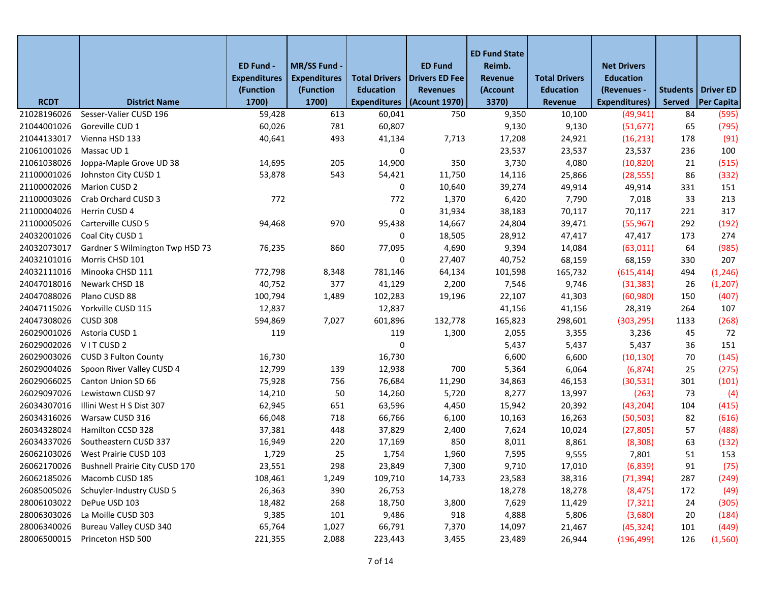|             |                                            | ED Fund -<br><b>Expenditures</b> | <b>MR/SS Fund</b><br><b>Expenditures</b> | <b>Total Drivers</b> | <b>ED Fund</b><br><b>Drivers ED Fee</b> | <b>ED Fund State</b><br>Reimb.<br>Revenue | <b>Total Drivers</b> | <b>Net Drivers</b><br><b>Education</b> |                             |                   |
|-------------|--------------------------------------------|----------------------------------|------------------------------------------|----------------------|-----------------------------------------|-------------------------------------------|----------------------|----------------------------------------|-----------------------------|-------------------|
|             |                                            | (Function                        | (Function                                | <b>Education</b>     | <b>Revenues</b>                         | (Account                                  | <b>Education</b>     | (Revenues -                            | <b>Students   Driver ED</b> |                   |
| <b>RCDT</b> | <b>District Name</b>                       | 1700)                            | 1700)                                    | <b>Expenditures</b>  | (Acount 1970)                           | 3370)                                     | Revenue              | <b>Expenditures)</b>                   | <b>Served</b>               | <b>Per Capita</b> |
| 21028196026 | Sesser-Valier CUSD 196                     | 59,428                           | 613                                      | 60,041               | 750                                     | 9,350                                     | 10,100               | (49, 941)                              | 84                          | (595)             |
| 21044001026 | Goreville CUD 1                            | 60,026                           | 781                                      | 60,807               |                                         | 9,130                                     | 9,130                | (51, 677)                              | 65                          | (795)             |
| 21044133017 | Vienna HSD 133                             | 40,641                           | 493                                      | 41,134               | 7,713                                   | 17,208                                    | 24,921               | (16, 213)                              | 178                         | (91)              |
| 21061001026 | Massac UD 1                                |                                  |                                          | 0                    |                                         | 23,537                                    | 23,537               | 23,537                                 | 236                         | 100               |
| 21061038026 | Joppa-Maple Grove UD 38                    | 14,695                           | 205                                      | 14,900               | 350                                     | 3,730                                     | 4,080                | (10, 820)                              | 21                          | (515)             |
| 21100001026 | Johnston City CUSD 1                       | 53,878                           | 543                                      | 54,421               | 11,750                                  | 14,116                                    | 25,866               | (28, 555)                              | 86                          | (332)             |
| 21100002026 | Marion CUSD 2                              |                                  |                                          | 0                    | 10,640                                  | 39,274                                    | 49,914               | 49,914                                 | 331                         | 151               |
| 21100003026 | Crab Orchard CUSD 3                        | 772                              |                                          | 772                  | 1,370                                   | 6,420                                     | 7,790                | 7,018                                  | 33                          | 213               |
| 21100004026 | Herrin CUSD 4                              |                                  |                                          | $\mathbf 0$          | 31,934                                  | 38,183                                    | 70,117               | 70,117                                 | 221                         | 317               |
| 21100005026 | Carterville CUSD 5                         | 94,468                           | 970                                      | 95,438               | 14,667                                  | 24,804                                    | 39,471               | (55, 967)                              | 292                         | (192)             |
| 24032001026 | Coal City CUSD 1                           |                                  |                                          | 0                    | 18,505                                  | 28,912                                    | 47,417               | 47,417                                 | 173                         | 274               |
| 24032073017 | Gardner S Wilmington Twp HSD 73            | 76,235                           | 860                                      | 77,095               | 4,690                                   | 9,394                                     | 14,084               | (63, 011)                              | 64                          | (985)             |
| 24032101016 | Morris CHSD 101                            |                                  |                                          | 0                    | 27,407                                  | 40,752                                    | 68,159               | 68,159                                 | 330                         | 207               |
| 24032111016 | Minooka CHSD 111                           | 772,798                          | 8,348                                    | 781,146              | 64,134                                  | 101,598                                   | 165,732              | (615, 414)                             | 494                         | (1, 246)          |
| 24047018016 | Newark CHSD 18                             | 40,752                           | 377                                      | 41,129               | 2,200                                   | 7,546                                     | 9,746                | (31, 383)                              | 26                          | (1, 207)          |
| 24047088026 | Plano CUSD 88                              | 100,794                          | 1,489                                    | 102,283              | 19,196                                  | 22,107                                    | 41,303               | (60, 980)                              | 150                         | (407)             |
| 24047115026 | Yorkville CUSD 115                         | 12,837                           |                                          | 12,837               |                                         | 41,156                                    | 41,156               | 28,319                                 | 264                         | 107               |
| 24047308026 | <b>CUSD 308</b>                            | 594,869                          | 7,027                                    | 601,896              | 132,778                                 | 165,823                                   | 298,601              | (303, 295)                             | 1133                        | (268)             |
| 26029001026 | Astoria CUSD 1                             | 119                              |                                          | 119                  | 1,300                                   | 2,055                                     | 3,355                | 3,236                                  | 45                          | 72                |
| 26029002026 | VITCUSD <sub>2</sub>                       |                                  |                                          | 0                    |                                         | 5,437                                     | 5,437                | 5,437                                  | 36                          | 151               |
| 26029003026 | <b>CUSD 3 Fulton County</b>                | 16,730                           |                                          | 16,730               |                                         | 6,600                                     | 6,600                | (10, 130)                              | 70                          | (145)             |
| 26029004026 | Spoon River Valley CUSD 4                  | 12,799                           | 139                                      | 12,938               | 700                                     | 5,364                                     | 6,064                | (6, 874)                               | 25                          | (275)             |
| 26029066025 | Canton Union SD 66                         | 75,928                           | 756                                      | 76,684               | 11,290                                  | 34,863                                    | 46,153               | (30,531)                               | 301                         | (101)             |
| 26029097026 | Lewistown CUSD 97                          | 14,210                           | 50                                       | 14,260               | 5,720                                   | 8,277                                     | 13,997               | (263)                                  | 73                          | (4)               |
| 26034307016 | Illini West H S Dist 307                   | 62,945                           | 651                                      | 63,596               | 4,450                                   | 15,942                                    | 20,392               | (43, 204)                              | 104                         | (415)             |
| 26034316026 | Warsaw CUSD 316                            | 66,048                           | 718                                      | 66,766               | 6,100                                   | 10,163                                    | 16,263               | (50, 503)                              | 82                          | (616)             |
| 26034328024 | Hamilton CCSD 328                          | 37,381                           | 448                                      | 37,829               | 2,400                                   | 7,624                                     | 10,024               | (27, 805)                              | 57                          | (488)             |
| 26034337026 | Southeastern CUSD 337                      | 16,949                           | 220                                      | 17,169               | 850                                     | 8,011                                     | 8,861                | (8,308)                                | 63                          | (132)             |
| 26062103026 | West Prairie CUSD 103                      | 1,729                            | 25                                       | 1,754                | 1,960                                   | 7,595                                     | 9,555                | 7,801                                  | 51                          | 153               |
|             | 26062170026 Bushnell Prairie City CUSD 170 | 23,551                           | 298                                      | 23,849               | 7,300                                   | 9,710                                     | 17,010               | (6,839)                                | 91                          | (75)              |
|             | 26062185026 Macomb CUSD 185                | 108,461                          | 1,249                                    | 109,710              | 14,733                                  | 23,583                                    | 38,316               | (71, 394)                              | 287                         | (249)             |
| 26085005026 | Schuyler-Industry CUSD 5                   | 26,363                           | 390                                      | 26,753               |                                         | 18,278                                    | 18,278               | (8, 475)                               | 172                         | (49)              |
| 28006103022 | DePue USD 103                              | 18,482                           | 268                                      | 18,750               | 3,800                                   | 7,629                                     | 11,429               | (7, 321)                               | 24                          | (305)             |
| 28006303026 | La Moille CUSD 303                         | 9,385                            | 101                                      | 9,486                | 918                                     | 4,888                                     | 5,806                | (3,680)                                | 20                          | (184)             |
| 28006340026 | <b>Bureau Valley CUSD 340</b>              | 65,764                           | 1,027                                    | 66,791               | 7,370                                   | 14,097                                    | 21,467               | (45, 324)                              | 101                         | (449)             |
| 28006500015 | Princeton HSD 500                          | 221,355                          | 2,088                                    | 223,443              | 3,455                                   | 23,489                                    | 26,944               | (196, 499)                             | 126                         | (1, 560)          |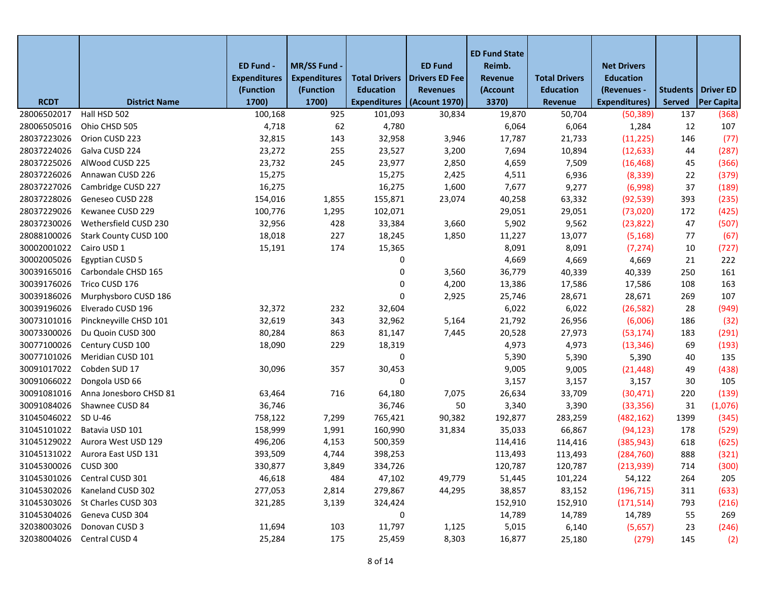|                      |                        | ED Fund -<br><b>Expenditures</b><br>(Function | MR/SS Fund -<br><b>Expenditures</b><br>(Function | <b>Total Drivers</b><br><b>Education</b> | <b>ED Fund</b><br><b>Drivers ED Fee</b><br><b>Revenues</b> | <b>ED Fund State</b><br>Reimb.<br>Revenue<br>(Account | <b>Total Drivers</b><br><b>Education</b> | <b>Net Drivers</b><br><b>Education</b><br>(Revenues - | <b>Students   Driver ED</b> |                   |
|----------------------|------------------------|-----------------------------------------------|--------------------------------------------------|------------------------------------------|------------------------------------------------------------|-------------------------------------------------------|------------------------------------------|-------------------------------------------------------|-----------------------------|-------------------|
| <b>RCDT</b>          | <b>District Name</b>   | 1700)                                         | 1700)                                            | <b>Expenditures</b>                      | (Acount 1970)                                              | 3370)                                                 | Revenue                                  | <b>Expenditures)</b>                                  | <b>Served</b>               | <b>Per Capita</b> |
| 28006502017          | Hall HSD 502           | 100,168                                       | 925                                              | 101,093                                  | 30,834                                                     | 19,870                                                | 50,704                                   | (50, 389)                                             | 137                         | (368)             |
| 28006505016          | Ohio CHSD 505          | 4,718                                         | 62                                               | 4,780                                    |                                                            | 6,064                                                 | 6,064                                    | 1,284                                                 | 12                          | 107               |
| 28037223026          | Orion CUSD 223         | 32,815                                        | 143                                              | 32,958                                   | 3,946                                                      | 17,787                                                | 21,733                                   | (11, 225)                                             | 146                         | (77)              |
| 28037224026          | Galva CUSD 224         | 23,272                                        | 255                                              | 23,527                                   | 3,200                                                      | 7,694                                                 | 10,894                                   | (12, 633)                                             | 44                          | (287)             |
| 28037225026          | AlWood CUSD 225        | 23,732                                        | 245                                              | 23,977                                   | 2,850                                                      | 4,659                                                 | 7,509                                    | (16, 468)                                             | 45                          | (366)             |
| 28037226026          | Annawan CUSD 226       | 15,275                                        |                                                  | 15,275                                   | 2,425                                                      | 4,511                                                 | 6,936                                    | (8, 339)                                              | 22                          | (379)             |
| 28037227026          | Cambridge CUSD 227     | 16,275                                        |                                                  | 16,275                                   | 1,600                                                      | 7,677                                                 | 9,277                                    | (6,998)                                               | 37                          | (189)             |
| 28037228026          | Geneseo CUSD 228       | 154,016                                       | 1,855                                            | 155,871                                  | 23,074                                                     | 40,258                                                | 63,332                                   | (92, 539)                                             | 393                         | (235)             |
| 28037229026          | Kewanee CUSD 229       | 100,776                                       | 1,295                                            | 102,071                                  |                                                            | 29,051                                                | 29,051                                   | (73,020)                                              | 172                         | (425)             |
| 28037230026          | Wethersfield CUSD 230  | 32,956                                        | 428                                              | 33,384                                   | 3,660                                                      | 5,902                                                 | 9,562                                    | (23, 822)                                             | 47                          | (507)             |
| 28088100026          | Stark County CUSD 100  | 18,018                                        | 227                                              | 18,245                                   | 1,850                                                      | 11,227                                                | 13,077                                   | (5, 168)                                              | 77                          | (67)              |
| 30002001022          | Cairo USD 1            | 15,191                                        | 174                                              | 15,365                                   |                                                            | 8,091                                                 | 8,091                                    | (7, 274)                                              | 10                          | (727)             |
| 30002005026          | <b>Egyptian CUSD 5</b> |                                               |                                                  | 0                                        |                                                            | 4,669                                                 | 4,669                                    | 4,669                                                 | 21                          | 222               |
| 30039165016          | Carbondale CHSD 165    |                                               |                                                  | 0                                        | 3,560                                                      | 36,779                                                | 40,339                                   | 40,339                                                | 250                         | 161               |
| 30039176026          | Trico CUSD 176         |                                               |                                                  | 0                                        | 4,200                                                      | 13,386                                                | 17,586                                   | 17,586                                                | 108                         | 163               |
| 30039186026          | Murphysboro CUSD 186   |                                               |                                                  | 0                                        | 2,925                                                      | 25,746                                                | 28,671                                   | 28,671                                                | 269                         | 107               |
| 30039196026          | Elverado CUSD 196      | 32,372                                        | 232                                              | 32,604                                   |                                                            | 6,022                                                 | 6,022                                    | (26, 582)                                             | 28                          | (949)             |
| 30073101016          | Pinckneyville CHSD 101 | 32,619                                        | 343                                              | 32,962                                   | 5,164                                                      | 21,792                                                | 26,956                                   | (6,006)                                               | 186                         | (32)              |
| 30073300026          | Du Quoin CUSD 300      | 80,284                                        | 863                                              | 81,147                                   | 7,445                                                      | 20,528                                                | 27,973                                   | (53, 174)                                             | 183                         | (291)             |
| 30077100026          | Century CUSD 100       | 18,090                                        | 229                                              | 18,319                                   |                                                            | 4,973                                                 | 4,973                                    | (13, 346)                                             | 69                          | (193)             |
| 30077101026          | Meridian CUSD 101      |                                               |                                                  | 0                                        |                                                            | 5,390                                                 | 5,390                                    | 5,390                                                 | 40                          | 135               |
| 30091017022          | Cobden SUD 17          | 30,096                                        | 357                                              | 30,453                                   |                                                            | 9,005                                                 | 9,005                                    | (21, 448)                                             | 49                          | (438)             |
| 30091066022          | Dongola USD 66         |                                               |                                                  | 0                                        |                                                            | 3,157                                                 | 3,157                                    | 3,157                                                 | 30                          | 105               |
| 30091081016          | Anna Jonesboro CHSD 81 | 63,464                                        | 716                                              | 64,180                                   | 7,075                                                      | 26,634                                                | 33,709                                   | (30, 471)                                             | 220                         | (139)             |
| 30091084026          | Shawnee CUSD 84        | 36,746                                        |                                                  | 36,746                                   | 50                                                         | 3,340                                                 | 3,390                                    | (33, 356)                                             | 31                          | (1,076)           |
| 31045046022          | SD U-46                | 758,122                                       | 7,299                                            | 765,421                                  | 90,382                                                     | 192,877                                               | 283,259                                  | (482, 162)                                            | 1399                        | (345)             |
| 31045101022          | Batavia USD 101        | 158,999                                       | 1,991                                            | 160,990                                  | 31,834                                                     | 35,033                                                | 66,867                                   | (94, 123)                                             | 178                         | (529)             |
| 31045129022          | Aurora West USD 129    | 496,206                                       | 4,153                                            | 500,359                                  |                                                            | 114,416                                               | 114,416                                  | (385, 943)                                            | 618                         | (625)             |
| 31045131022          | Aurora East USD 131    | 393,509                                       | 4,744                                            | 398,253                                  |                                                            | 113,493                                               | 113,493                                  | (284, 760)                                            | 888                         | (321)             |
| 31045300026 CUSD 300 |                        | 330,877                                       | 3,849                                            | 334,726                                  |                                                            | 120,787                                               | 120,787                                  | (213,939)                                             | 714                         | (300)             |
| 31045301026          | Central CUSD 301       | 46,618                                        | 484                                              | 47,102                                   | 49,779                                                     | 51,445                                                | 101,224                                  | 54,122                                                | 264                         | 205               |
| 31045302026          | Kaneland CUSD 302      | 277,053                                       | 2,814                                            | 279,867                                  | 44,295                                                     | 38,857                                                | 83,152                                   | (196, 715)                                            | 311                         | (633)             |
| 31045303026          | St Charles CUSD 303    | 321,285                                       | 3,139                                            | 324,424                                  |                                                            | 152,910                                               | 152,910                                  | (171, 514)                                            | 793                         | (216)             |
| 31045304026          | Geneva CUSD 304        |                                               |                                                  | 0                                        |                                                            | 14,789                                                | 14,789                                   | 14,789                                                | 55                          | 269               |
| 32038003026          | Donovan CUSD 3         | 11,694                                        | 103                                              | 11,797                                   | 1,125                                                      | 5,015                                                 | 6,140                                    | (5,657)                                               | 23                          | (246)             |
| 32038004026          | Central CUSD 4         | 25,284                                        | 175                                              | 25,459                                   | 8,303                                                      | 16,877                                                | 25,180                                   | (279)                                                 | 145                         | (2)               |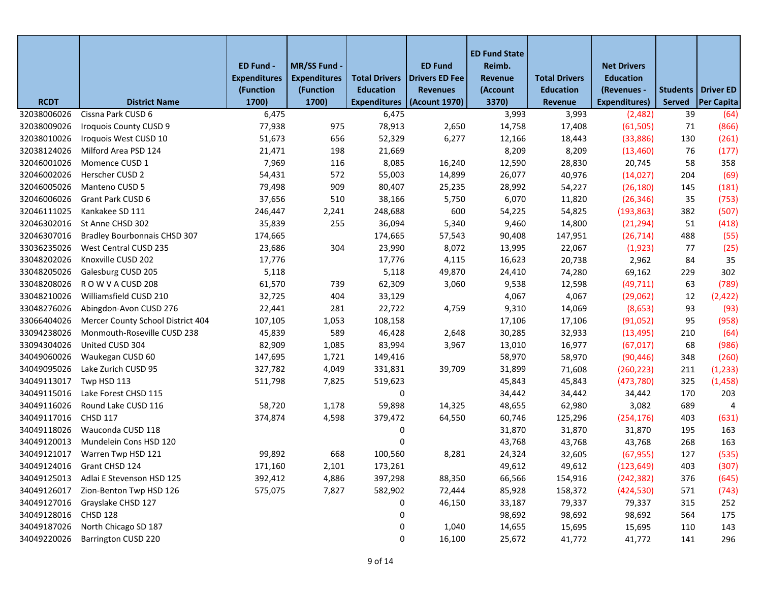|             |                                     | ED Fund -           | MR/SS Fund -                     |                                          | <b>ED Fund</b>                           | <b>ED Fund State</b><br>Reimb. |                                          | <b>Net Drivers</b>              |               |                                           |
|-------------|-------------------------------------|---------------------|----------------------------------|------------------------------------------|------------------------------------------|--------------------------------|------------------------------------------|---------------------------------|---------------|-------------------------------------------|
|             |                                     | <b>Expenditures</b> | <b>Expenditures</b><br>(Function | <b>Total Drivers</b><br><b>Education</b> | <b>Drivers ED Fee</b><br><b>Revenues</b> | Revenue                        | <b>Total Drivers</b><br><b>Education</b> | <b>Education</b><br>(Revenues - |               |                                           |
| <b>RCDT</b> | <b>District Name</b>                | (Function<br>1700)  | 1700)                            | <b>Expenditures</b>                      | (Acount 1970)                            | (Account<br>3370)              | <b>Revenue</b>                           | Expenditures)                   | <b>Served</b> | Students   Driver ED<br><b>Per Capita</b> |
| 32038006026 | Cissna Park CUSD 6                  | 6,475               |                                  | 6,475                                    |                                          | 3,993                          | 3,993                                    | (2,482)                         | 39            | (64)                                      |
| 32038009026 | Iroquois County CUSD 9              | 77,938              | 975                              | 78,913                                   | 2,650                                    | 14,758                         | 17,408                                   | (61, 505)                       | 71            | (866)                                     |
| 32038010026 | Iroquois West CUSD 10               | 51,673              | 656                              | 52,329                                   | 6,277                                    | 12,166                         | 18,443                                   | (33,886)                        | 130           | (261)                                     |
| 32038124026 | Milford Area PSD 124                | 21,471              | 198                              | 21,669                                   |                                          | 8,209                          | 8,209                                    | (13, 460)                       | 76            | (177)                                     |
| 32046001026 | Momence CUSD 1                      | 7,969               | 116                              | 8,085                                    | 16,240                                   | 12,590                         | 28,830                                   | 20,745                          | 58            | 358                                       |
| 32046002026 | Herscher CUSD 2                     | 54,431              | 572                              | 55,003                                   | 14,899                                   | 26,077                         | 40,976                                   | (14, 027)                       | 204           | (69)                                      |
| 32046005026 | Manteno CUSD 5                      | 79,498              | 909                              | 80,407                                   | 25,235                                   | 28,992                         | 54,227                                   | (26, 180)                       | 145           | (181)                                     |
| 32046006026 | Grant Park CUSD 6                   | 37,656              | 510                              | 38,166                                   | 5,750                                    | 6,070                          | 11,820                                   | (26, 346)                       | 35            | (753)                                     |
| 32046111025 | Kankakee SD 111                     | 246,447             | 2,241                            | 248,688                                  | 600                                      | 54,225                         | 54,825                                   | (193, 863)                      | 382           | (507)                                     |
| 32046302016 | St Anne CHSD 302                    | 35,839              | 255                              | 36,094                                   | 5,340                                    | 9,460                          | 14,800                                   | (21, 294)                       | 51            | (418)                                     |
| 32046307016 | <b>Bradley Bourbonnais CHSD 307</b> | 174,665             |                                  | 174,665                                  | 57,543                                   | 90,408                         | 147,951                                  | (26, 714)                       | 488           | (55)                                      |
| 33036235026 | West Central CUSD 235               | 23,686              | 304                              | 23,990                                   | 8,072                                    | 13,995                         | 22,067                                   | (1, 923)                        | 77            | (25)                                      |
| 33048202026 | Knoxville CUSD 202                  | 17,776              |                                  | 17,776                                   | 4,115                                    | 16,623                         | 20,738                                   | 2,962                           | 84            | 35                                        |
| 33048205026 | Galesburg CUSD 205                  | 5,118               |                                  | 5,118                                    | 49,870                                   | 24,410                         | 74,280                                   | 69,162                          | 229           | 302                                       |
| 33048208026 | ROW VACUSD 208                      | 61,570              | 739                              | 62,309                                   | 3,060                                    | 9,538                          | 12,598                                   | (49, 711)                       | 63            | (789)                                     |
| 33048210026 | Williamsfield CUSD 210              | 32,725              | 404                              | 33,129                                   |                                          | 4,067                          | 4,067                                    | (29,062)                        | 12            | (2, 422)                                  |
| 33048276026 | Abingdon-Avon CUSD 276              | 22,441              | 281                              | 22,722                                   | 4,759                                    | 9,310                          | 14,069                                   | (8,653)                         | 93            | (93)                                      |
| 33066404026 | Mercer County School District 404   | 107,105             | 1,053                            | 108,158                                  |                                          | 17,106                         | 17,106                                   | (91,052)                        | 95            | (958)                                     |
| 33094238026 | Monmouth-Roseville CUSD 238         | 45,839              | 589                              | 46,428                                   | 2,648                                    | 30,285                         | 32,933                                   | (13, 495)                       | 210           | (64)                                      |
| 33094304026 | United CUSD 304                     | 82,909              | 1,085                            | 83,994                                   | 3,967                                    | 13,010                         | 16,977                                   | (67, 017)                       | 68            | (986)                                     |
| 34049060026 | Waukegan CUSD 60                    | 147,695             | 1,721                            | 149,416                                  |                                          | 58,970                         | 58,970                                   | (90, 446)                       | 348           | (260)                                     |
| 34049095026 | Lake Zurich CUSD 95                 | 327,782             | 4,049                            | 331,831                                  | 39,709                                   | 31,899                         | 71,608                                   | (260, 223)                      | 211           | (1, 233)                                  |
| 34049113017 | Twp HSD 113                         | 511,798             | 7,825                            | 519,623                                  |                                          | 45,843                         | 45,843                                   | (473, 780)                      | 325           | (1, 458)                                  |
| 34049115016 | Lake Forest CHSD 115                |                     |                                  | 0                                        |                                          | 34,442                         | 34,442                                   | 34,442                          | 170           | 203                                       |
| 34049116026 | Round Lake CUSD 116                 | 58,720              | 1,178                            | 59,898                                   | 14,325                                   | 48,655                         | 62,980                                   | 3,082                           | 689           | 4                                         |
| 34049117016 | <b>CHSD 117</b>                     | 374,874             | 4,598                            | 379,472                                  | 64,550                                   | 60,746                         | 125,296                                  | (254, 176)                      | 403           | (631)                                     |
| 34049118026 | Wauconda CUSD 118                   |                     |                                  | 0                                        |                                          | 31,870                         | 31,870                                   | 31,870                          | 195           | 163                                       |
| 34049120013 | Mundelein Cons HSD 120              |                     |                                  | 0                                        |                                          | 43,768                         | 43,768                                   | 43,768                          | 268           | 163                                       |
| 34049121017 | Warren Twp HSD 121                  | 99,892              | 668                              | 100,560                                  | 8,281                                    | 24,324                         | 32,605                                   | (67, 955)                       | 127           | (535)                                     |
|             | 34049124016 Grant CHSD 124          | 171,160             | 2,101                            | 173,261                                  |                                          | 49,612                         | 49,612                                   | (123, 649)                      | 403           | (307)                                     |
| 34049125013 | Adlai E Stevenson HSD 125           | 392,412             | 4,886                            | 397,298                                  | 88,350                                   | 66,566                         | 154,916                                  | (242, 382)                      | 376           | (645)                                     |
| 34049126017 | Zion-Benton Twp HSD 126             | 575,075             | 7,827                            | 582,902                                  | 72,444                                   | 85,928                         | 158,372                                  | (424, 530)                      | 571           | (743)                                     |
| 34049127016 | Grayslake CHSD 127                  |                     |                                  | 0                                        | 46,150                                   | 33,187                         | 79,337                                   | 79,337                          | 315           | 252                                       |
| 34049128016 | <b>CHSD 128</b>                     |                     |                                  | 0                                        |                                          | 98,692                         | 98,692                                   | 98,692                          | 564           | 175                                       |
| 34049187026 | North Chicago SD 187                |                     |                                  | 0                                        | 1,040                                    | 14,655                         | 15,695                                   | 15,695                          | 110           | 143                                       |
| 34049220026 | Barrington CUSD 220                 |                     |                                  | 0                                        | 16,100                                   | 25,672                         | 41,772                                   | 41,772                          | 141           | 296                                       |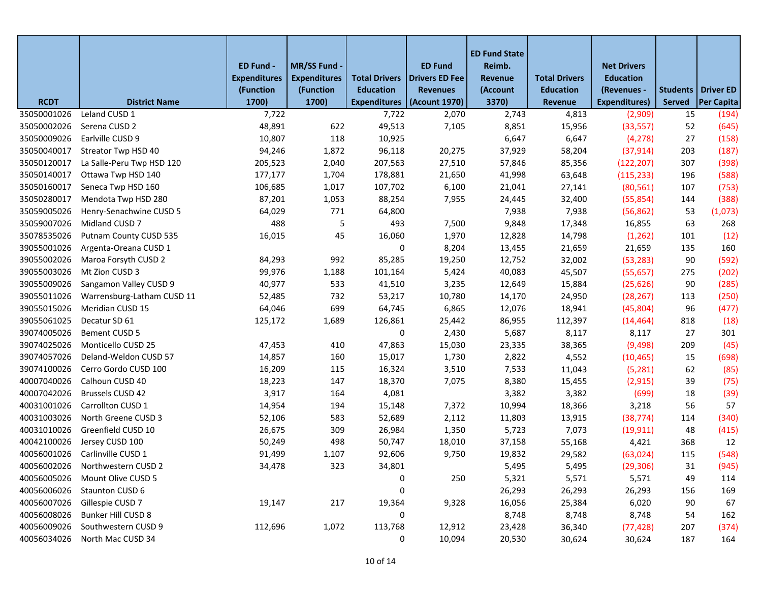|                            |                                       | ED Fund -<br><b>Expenditures</b> | MR/SS Fund -<br><b>Expenditures</b> | <b>Total Drivers</b>         | <b>ED Fund</b><br><b>Drivers ED Fee</b> | <b>ED Fund State</b><br>Reimb.<br>Revenue | <b>Total Drivers</b> | <b>Net Drivers</b><br><b>Education</b> |                     |                            |
|----------------------------|---------------------------------------|----------------------------------|-------------------------------------|------------------------------|-----------------------------------------|-------------------------------------------|----------------------|----------------------------------------|---------------------|----------------------------|
|                            |                                       | (Function                        | (Function                           | <b>Education</b>             | <b>Revenues</b>                         | (Account                                  | <b>Education</b>     | (Revenues -                            | Students            | <b>Driver ED</b>           |
| <b>RCDT</b><br>35050001026 | <b>District Name</b><br>Leland CUSD 1 | 1700)<br>7,722                   | 1700)                               | <b>Expenditures</b><br>7,722 | (Acount 1970)<br>2,070                  | 3370)<br>2,743                            | Revenue<br>4,813     | <b>Expenditures)</b><br>(2,909)        | <b>Served</b><br>15 | <b>Per Capita</b><br>(194) |
| 35050002026                | Serena CUSD 2                         | 48,891                           | 622                                 | 49,513                       | 7,105                                   | 8,851                                     | 15,956               | (33, 557)                              | 52                  | (645)                      |
| 35050009026                | Earlville CUSD 9                      | 10,807                           | 118                                 | 10,925                       |                                         | 6,647                                     | 6,647                | (4, 278)                               | 27                  | (158)                      |
| 35050040017                | Streator Twp HSD 40                   | 94,246                           | 1,872                               | 96,118                       | 20,275                                  | 37,929                                    | 58,204               | (37, 914)                              | 203                 | (187)                      |
| 35050120017                | La Salle-Peru Twp HSD 120             | 205,523                          | 2,040                               | 207,563                      | 27,510                                  | 57,846                                    | 85,356               | (122, 207)                             | 307                 | (398)                      |
| 35050140017                | Ottawa Twp HSD 140                    | 177,177                          | 1,704                               | 178,881                      | 21,650                                  | 41,998                                    | 63,648               | (115, 233)                             | 196                 | (588)                      |
| 35050160017                | Seneca Twp HSD 160                    | 106,685                          | 1,017                               | 107,702                      | 6,100                                   | 21,041                                    | 27,141               | (80, 561)                              | 107                 | (753)                      |
| 35050280017                | Mendota Twp HSD 280                   | 87,201                           | 1,053                               | 88,254                       | 7,955                                   | 24,445                                    | 32,400               | (55, 854)                              | 144                 | (388)                      |
| 35059005026                | Henry-Senachwine CUSD 5               | 64,029                           | 771                                 | 64,800                       |                                         | 7,938                                     | 7,938                | (56, 862)                              | 53                  | (1,073)                    |
| 35059007026                | Midland CUSD 7                        | 488                              | 5                                   | 493                          | 7,500                                   | 9,848                                     | 17,348               | 16,855                                 | 63                  | 268                        |
| 35078535026                | Putnam County CUSD 535                | 16,015                           | 45                                  | 16,060                       | 1,970                                   | 12,828                                    | 14,798               | (1, 262)                               | 101                 | (12)                       |
| 39055001026                | Argenta-Oreana CUSD 1                 |                                  |                                     | 0                            | 8,204                                   | 13,455                                    | 21,659               | 21,659                                 | 135                 | 160                        |
| 39055002026                | Maroa Forsyth CUSD 2                  | 84,293                           | 992                                 | 85,285                       | 19,250                                  | 12,752                                    | 32,002               | (53, 283)                              | 90                  | (592)                      |
| 39055003026                | Mt Zion CUSD 3                        | 99,976                           | 1,188                               | 101,164                      | 5,424                                   | 40,083                                    | 45,507               | (55, 657)                              | 275                 | (202)                      |
| 39055009026                | Sangamon Valley CUSD 9                | 40,977                           | 533                                 | 41,510                       | 3,235                                   | 12,649                                    | 15,884               | (25, 626)                              | 90                  | (285)                      |
| 39055011026                | Warrensburg-Latham CUSD 11            | 52,485                           | 732                                 | 53,217                       | 10,780                                  | 14,170                                    | 24,950               | (28, 267)                              | 113                 | (250)                      |
| 39055015026                | Meridian CUSD 15                      | 64,046                           | 699                                 | 64,745                       | 6,865                                   | 12,076                                    | 18,941               | (45,804)                               | 96                  | (477)                      |
| 39055061025                | Decatur SD 61                         | 125,172                          | 1,689                               | 126,861                      | 25,442                                  | 86,955                                    | 112,397              | (14, 464)                              | 818                 | (18)                       |
| 39074005026                | Bement CUSD 5                         |                                  |                                     | 0                            | 2,430                                   | 5,687                                     | 8,117                | 8,117                                  | 27                  | 301                        |
| 39074025026                | Monticello CUSD 25                    | 47,453                           | 410                                 | 47,863                       | 15,030                                  | 23,335                                    | 38,365               | (9,498)                                | 209                 | (45)                       |
| 39074057026                | Deland-Weldon CUSD 57                 | 14,857                           | 160                                 | 15,017                       | 1,730                                   | 2,822                                     | 4,552                | (10, 465)                              | 15                  | (698)                      |
| 39074100026                | Cerro Gordo CUSD 100                  | 16,209                           | 115                                 | 16,324                       | 3,510                                   | 7,533                                     | 11,043               | (5,281)                                | 62                  | (85)                       |
| 40007040026                | Calhoun CUSD 40                       | 18,223                           | 147                                 | 18,370                       | 7,075                                   | 8,380                                     | 15,455               | (2, 915)                               | 39                  | (75)                       |
| 40007042026                | <b>Brussels CUSD 42</b>               | 3,917                            | 164                                 | 4,081                        |                                         | 3,382                                     | 3,382                | (699)                                  | 18                  | (39)                       |
| 40031001026                | Carrollton CUSD 1                     | 14,954                           | 194                                 | 15,148                       | 7,372                                   | 10,994                                    | 18,366               | 3,218                                  | 56                  | 57                         |
| 40031003026                | North Greene CUSD 3                   | 52,106                           | 583                                 | 52,689                       | 2,112                                   | 11,803                                    | 13,915               | (38, 774)                              | 114                 | (340)                      |
| 40031010026                | Greenfield CUSD 10                    | 26,675                           | 309                                 | 26,984                       | 1,350                                   | 5,723                                     | 7,073                | (19, 911)                              | 48                  | (415)                      |
| 40042100026                | Jersey CUSD 100                       | 50,249                           | 498                                 | 50,747                       | 18,010                                  | 37,158                                    | 55,168               | 4,421                                  | 368                 | 12                         |
| 40056001026                | Carlinville CUSD 1                    | 91,499                           | 1,107                               | 92,606                       | 9,750                                   | 19,832                                    | 29,582               | (63, 024)                              | 115                 | (548)                      |
|                            | 40056002026 Northwestern CUSD 2       | 34,478                           | 323                                 | 34,801                       |                                         | 5,495                                     | 5,495                | (29, 306)                              | 31                  | (945)                      |
| 40056005026                | Mount Olive CUSD 5                    |                                  |                                     | 0                            | 250                                     | 5,321                                     | 5,571                | 5,571                                  | 49                  | 114                        |
| 40056006026                | Staunton CUSD 6                       |                                  |                                     | 0                            |                                         | 26,293                                    | 26,293               | 26,293                                 | 156                 | 169                        |
| 40056007026                | Gillespie CUSD 7                      | 19,147                           | 217                                 | 19,364                       | 9,328                                   | 16,056                                    | 25,384               | 6,020                                  | 90                  | 67                         |
| 40056008026                | Bunker Hill CUSD 8                    |                                  |                                     | 0                            |                                         | 8,748                                     | 8,748                | 8,748                                  | 54                  | 162                        |
| 40056009026                | Southwestern CUSD 9                   | 112,696                          | 1,072                               | 113,768                      | 12,912                                  | 23,428                                    | 36,340               | (77, 428)                              | 207                 | (374)                      |
| 40056034026                | North Mac CUSD 34                     |                                  |                                     | 0                            | 10,094                                  | 20,530                                    | 30,624               | 30,624                                 | 187                 | 164                        |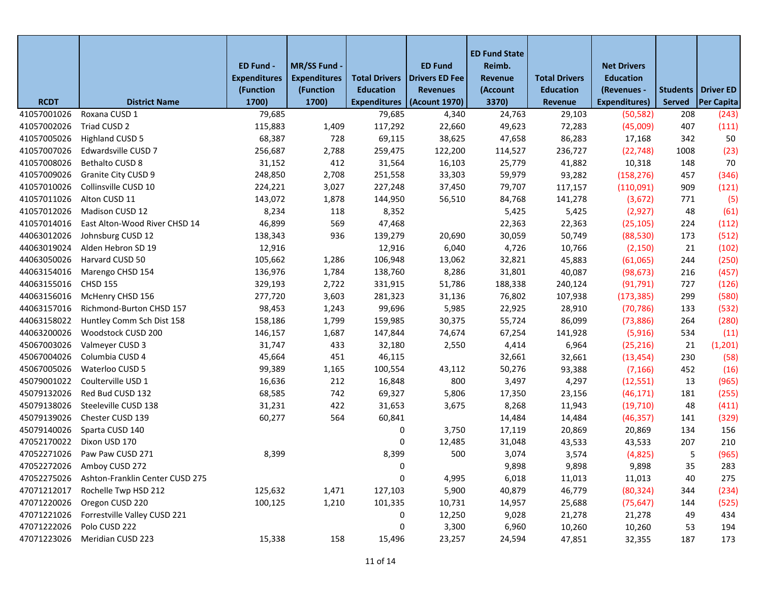|             |                                 | ED Fund -           | MR/SS Fund -        |                      | <b>ED Fund</b>        | <b>ED Fund State</b><br>Reimb. |                      | <b>Net Drivers</b>   |        |                             |
|-------------|---------------------------------|---------------------|---------------------|----------------------|-----------------------|--------------------------------|----------------------|----------------------|--------|-----------------------------|
|             |                                 | <b>Expenditures</b> | <b>Expenditures</b> | <b>Total Drivers</b> | <b>Drivers ED Fee</b> | Revenue                        | <b>Total Drivers</b> | <b>Education</b>     |        |                             |
|             |                                 | (Function           | (Function           | <b>Education</b>     | <b>Revenues</b>       | (Account                       | <b>Education</b>     | (Revenues -          |        | <b>Students   Driver ED</b> |
| <b>RCDT</b> | <b>District Name</b>            | 1700)               | 1700)               | <b>Expenditures</b>  | (Acount 1970)         | 3370)                          | Revenue              | <b>Expenditures)</b> | Served | Per Capita                  |
| 41057001026 | Roxana CUSD 1                   | 79,685              |                     | 79,685               | 4,340                 | 24,763                         | 29,103               | (50, 582)            | 208    | (243)                       |
| 41057002026 | Triad CUSD 2                    | 115,883             | 1,409               | 117,292              | 22,660                | 49,623                         | 72,283               | (45,009)             | 407    | (111)                       |
| 41057005026 | <b>Highland CUSD 5</b>          | 68,387              | 728                 | 69,115               | 38,625                | 47,658                         | 86,283               | 17,168               | 342    | 50                          |
| 41057007026 | Edwardsville CUSD 7             | 256,687             | 2,788               | 259,475              | 122,200               | 114,527                        | 236,727              | (22, 748)            | 1008   | (23)                        |
| 41057008026 | Bethalto CUSD 8                 | 31,152              | 412                 | 31,564               | 16,103                | 25,779                         | 41,882               | 10,318               | 148    | 70                          |
| 41057009026 | Granite City CUSD 9             | 248,850             | 2,708               | 251,558              | 33,303                | 59,979                         | 93,282               | (158, 276)           | 457    | (346)                       |
| 41057010026 | Collinsville CUSD 10            | 224,221             | 3,027               | 227,248              | 37,450                | 79,707                         | 117,157              | (110,091)            | 909    | (121)                       |
| 41057011026 | Alton CUSD 11                   | 143,072             | 1,878               | 144,950              | 56,510                | 84,768                         | 141,278              | (3,672)              | 771    | (5)                         |
| 41057012026 | Madison CUSD 12                 | 8,234               | 118                 | 8,352                |                       | 5,425                          | 5,425                | (2,927)              | 48     | (61)                        |
| 41057014016 | East Alton-Wood River CHSD 14   | 46,899              | 569                 | 47,468               |                       | 22,363                         | 22,363               | (25, 105)            | 224    | (112)                       |
| 44063012026 | Johnsburg CUSD 12               | 138,343             | 936                 | 139,279              | 20,690                | 30,059                         | 50,749               | (88, 530)            | 173    | (512)                       |
| 44063019024 | Alden Hebron SD 19              | 12,916              |                     | 12,916               | 6,040                 | 4,726                          | 10,766               | (2, 150)             | 21     | (102)                       |
| 44063050026 | Harvard CUSD 50                 | 105,662             | 1,286               | 106,948              | 13,062                | 32,821                         | 45,883               | (61,065)             | 244    | (250)                       |
| 44063154016 | Marengo CHSD 154                | 136,976             | 1,784               | 138,760              | 8,286                 | 31,801                         | 40,087               | (98, 673)            | 216    | (457)                       |
| 44063155016 | <b>CHSD 155</b>                 | 329,193             | 2,722               | 331,915              | 51,786                | 188,338                        | 240,124              | (91, 791)            | 727    | (126)                       |
| 44063156016 | McHenry CHSD 156                | 277,720             | 3,603               | 281,323              | 31,136                | 76,802                         | 107,938              | (173, 385)           | 299    | (580)                       |
| 44063157016 | Richmond-Burton CHSD 157        | 98,453              | 1,243               | 99,696               | 5,985                 | 22,925                         | 28,910               | (70, 786)            | 133    | (532)                       |
| 44063158022 | Huntley Comm Sch Dist 158       | 158,186             | 1,799               | 159,985              | 30,375                | 55,724                         | 86,099               | (73,886)             | 264    | (280)                       |
| 44063200026 | Woodstock CUSD 200              | 146,157             | 1,687               | 147,844              | 74,674                | 67,254                         | 141,928              | (5, 916)             | 534    | (11)                        |
| 45067003026 | Valmeyer CUSD 3                 | 31,747              | 433                 | 32,180               | 2,550                 | 4,414                          | 6,964                | (25, 216)            | 21     | (1, 201)                    |
| 45067004026 | Columbia CUSD 4                 | 45,664              | 451                 | 46,115               |                       | 32,661                         | 32,661               | (13, 454)            | 230    | (58)                        |
| 45067005026 | Waterloo CUSD 5                 | 99,389              | 1,165               | 100,554              | 43,112                | 50,276                         | 93,388               | (7, 166)             | 452    | (16)                        |
| 45079001022 | Coulterville USD 1              | 16,636              | 212                 | 16,848               | 800                   | 3,497                          | 4,297                | (12, 551)            | 13     | (965)                       |
| 45079132026 | Red Bud CUSD 132                | 68,585              | 742                 | 69,327               | 5,806                 | 17,350                         | 23,156               | (46, 171)            | 181    | (255)                       |
| 45079138026 | Steeleville CUSD 138            | 31,231              | 422                 | 31,653               | 3,675                 | 8,268                          | 11,943               | (19, 710)            | 48     | (411)                       |
| 45079139026 | Chester CUSD 139                | 60,277              | 564                 | 60,841               |                       | 14,484                         | 14,484               | (46, 357)            | 141    | (329)                       |
| 45079140026 | Sparta CUSD 140                 |                     |                     | 0                    | 3,750                 | 17,119                         | 20,869               | 20,869               | 134    | 156                         |
| 47052170022 | Dixon USD 170                   |                     |                     | 0                    | 12,485                | 31,048                         | 43,533               | 43,533               | 207    | 210                         |
| 47052271026 | Paw Paw CUSD 271                | 8,399               |                     | 8,399                | 500                   | 3,074                          | 3,574                | (4,825)              | 5      | (965)                       |
|             | 47052272026 Amboy CUSD 272      |                     |                     | 0                    |                       | 9,898                          | 9,898                | 9,898                | 35     | 283                         |
| 47052275026 | Ashton-Franklin Center CUSD 275 |                     |                     | 0                    | 4,995                 | 6,018                          | 11,013               | 11,013               | 40     | 275                         |
| 47071212017 | Rochelle Twp HSD 212            | 125,632             | 1,471               | 127,103              | 5,900                 | 40,879                         | 46,779               | (80, 324)            | 344    | (234)                       |
| 47071220026 | Oregon CUSD 220                 | 100,125             | 1,210               | 101,335              | 10,731                | 14,957                         | 25,688               | (75, 647)            | 144    | (525)                       |
| 47071221026 | Forrestville Valley CUSD 221    |                     |                     | 0                    | 12,250                | 9,028                          | 21,278               | 21,278               | 49     | 434                         |
| 47071222026 | Polo CUSD 222                   |                     |                     | 0                    | 3,300                 | 6,960                          | 10,260               | 10,260               | 53     | 194                         |
| 47071223026 | Meridian CUSD 223               | 15,338              | 158                 | 15,496               | 23,257                | 24,594                         | 47,851               | 32,355               | 187    | 173                         |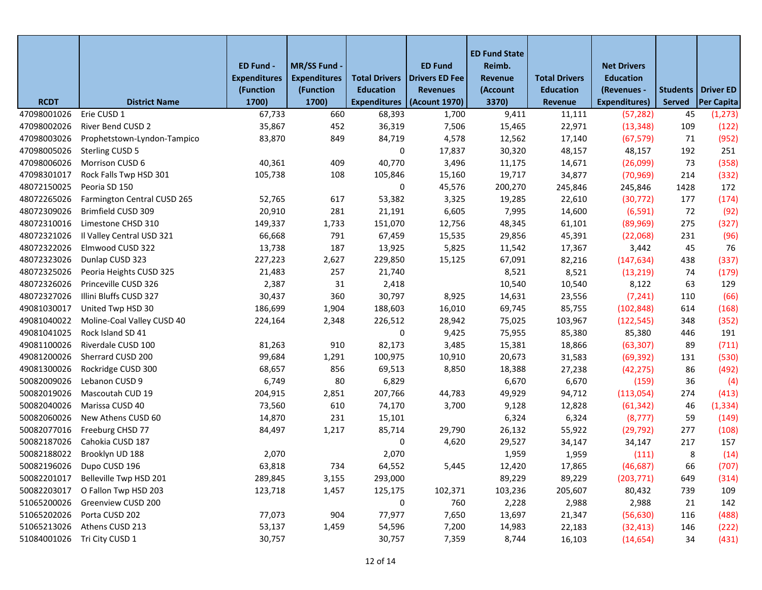|             |                             |                                  |                                  |                                          |                                   | <b>ED Fund State</b> |                                          |                                 |                             |            |
|-------------|-----------------------------|----------------------------------|----------------------------------|------------------------------------------|-----------------------------------|----------------------|------------------------------------------|---------------------------------|-----------------------------|------------|
|             |                             | ED Fund -                        | MR/SS Fund -                     |                                          | <b>ED Fund</b>                    | Reimb.               |                                          | <b>Net Drivers</b>              |                             |            |
|             |                             | <b>Expenditures</b><br>(Function | <b>Expenditures</b><br>(Function | <b>Total Drivers</b><br><b>Education</b> | Drivers ED Fee<br><b>Revenues</b> | Revenue<br>(Account  | <b>Total Drivers</b><br><b>Education</b> | <b>Education</b><br>(Revenues - | <b>Students   Driver ED</b> |            |
| <b>RCDT</b> | <b>District Name</b>        | 1700)                            | 1700)                            | <b>Expenditures</b>                      | (Acount 1970)                     | 3370)                | Revenue                                  | <b>Expenditures)</b>            | <b>Served</b>               | Per Capita |
| 47098001026 | Erie CUSD 1                 | 67,733                           | 660                              | 68,393                                   | 1,700                             | 9,411                | 11,111                                   | (57, 282)                       | 45                          | (1, 273)   |
| 47098002026 | River Bend CUSD 2           | 35,867                           | 452                              | 36,319                                   | 7,506                             | 15,465               | 22,971                                   | (13, 348)                       | 109                         | (122)      |
| 47098003026 | Prophetstown-Lyndon-Tampico | 83,870                           | 849                              | 84,719                                   | 4,578                             | 12,562               | 17,140                                   | (67, 579)                       | 71                          | (952)      |
| 47098005026 | Sterling CUSD 5             |                                  |                                  | 0                                        | 17,837                            | 30,320               | 48,157                                   | 48,157                          | 192                         | 251        |
| 47098006026 | Morrison CUSD 6             | 40,361                           | 409                              | 40,770                                   | 3,496                             | 11,175               | 14,671                                   | (26,099)                        | 73                          | (358)      |
| 47098301017 | Rock Falls Twp HSD 301      | 105,738                          | 108                              | 105,846                                  | 15,160                            | 19,717               | 34,877                                   | (70, 969)                       | 214                         | (332)      |
| 48072150025 | Peoria SD 150               |                                  |                                  | 0                                        | 45,576                            | 200,270              | 245,846                                  | 245,846                         | 1428                        | 172        |
| 48072265026 | Farmington Central CUSD 265 | 52,765                           | 617                              | 53,382                                   | 3,325                             | 19,285               | 22,610                                   | (30, 772)                       | 177                         | (174)      |
| 48072309026 | Brimfield CUSD 309          | 20,910                           | 281                              | 21,191                                   | 6,605                             | 7,995                | 14,600                                   | (6, 591)                        | 72                          | (92)       |
| 48072310016 | Limestone CHSD 310          | 149,337                          | 1,733                            | 151,070                                  | 12,756                            | 48,345               | 61,101                                   | (89, 969)                       | 275                         | (327)      |
| 48072321026 | Il Valley Central USD 321   | 66,668                           | 791                              | 67,459                                   | 15,535                            | 29,856               | 45,391                                   | (22,068)                        | 231                         | (96)       |
| 48072322026 | Elmwood CUSD 322            | 13,738                           | 187                              | 13,925                                   | 5,825                             | 11,542               | 17,367                                   | 3,442                           | 45                          | 76         |
| 48072323026 | Dunlap CUSD 323             | 227,223                          | 2,627                            | 229,850                                  | 15,125                            | 67,091               | 82,216                                   | (147, 634)                      | 438                         | (337)      |
| 48072325026 | Peoria Heights CUSD 325     | 21,483                           | 257                              | 21,740                                   |                                   | 8,521                | 8,521                                    | (13, 219)                       | 74                          | (179)      |
| 48072326026 | Princeville CUSD 326        | 2,387                            | 31                               | 2,418                                    |                                   | 10,540               | 10,540                                   | 8,122                           | 63                          | 129        |
| 48072327026 | Illini Bluffs CUSD 327      | 30,437                           | 360                              | 30,797                                   | 8,925                             | 14,631               | 23,556                                   | (7, 241)                        | 110                         | (66)       |
| 49081030017 | United Twp HSD 30           | 186,699                          | 1,904                            | 188,603                                  | 16,010                            | 69,745               | 85,755                                   | (102, 848)                      | 614                         | (168)      |
| 49081040022 | Moline-Coal Valley CUSD 40  | 224,164                          | 2,348                            | 226,512                                  | 28,942                            | 75,025               | 103,967                                  | (122, 545)                      | 348                         | (352)      |
| 49081041025 | Rock Island SD 41           |                                  |                                  | 0                                        | 9,425                             | 75,955               | 85,380                                   | 85,380                          | 446                         | 191        |
| 49081100026 | Riverdale CUSD 100          | 81,263                           | 910                              | 82,173                                   | 3,485                             | 15,381               | 18,866                                   | (63, 307)                       | 89                          | (711)      |
| 49081200026 | Sherrard CUSD 200           | 99,684                           | 1,291                            | 100,975                                  | 10,910                            | 20,673               | 31,583                                   | (69, 392)                       | 131                         | (530)      |
| 49081300026 | Rockridge CUSD 300          | 68,657                           | 856                              | 69,513                                   | 8,850                             | 18,388               | 27,238                                   | (42, 275)                       | 86                          | (492)      |
| 50082009026 | Lebanon CUSD 9              | 6,749                            | 80                               | 6,829                                    |                                   | 6,670                | 6,670                                    | (159)                           | 36                          | (4)        |
| 50082019026 | Mascoutah CUD 19            | 204,915                          | 2,851                            | 207,766                                  | 44,783                            | 49,929               | 94,712                                   | (113,054)                       | 274                         | (413)      |
| 50082040026 | Marissa CUSD 40             | 73,560                           | 610                              | 74,170                                   | 3,700                             | 9,128                | 12,828                                   | (61, 342)                       | 46                          | (1, 334)   |
| 50082060026 | New Athens CUSD 60          | 14,870                           | 231                              | 15,101                                   |                                   | 6,324                | 6,324                                    | (8, 777)                        | 59                          | (149)      |
| 50082077016 | Freeburg CHSD 77            | 84,497                           | 1,217                            | 85,714                                   | 29,790                            | 26,132               | 55,922                                   | (29, 792)                       | 277                         | (108)      |
| 50082187026 | Cahokia CUSD 187            |                                  |                                  | 0                                        | 4,620                             | 29,527               | 34,147                                   | 34,147                          | 217                         | 157        |
| 50082188022 | Brooklyn UD 188             | 2,070                            |                                  | 2,070                                    |                                   | 1,959                | 1,959                                    | (111)                           | 8                           | (14)       |
|             | 50082196026 Dupo CUSD 196   | 63,818                           | 734                              | 64,552                                   | 5,445                             | 12,420               | 17,865                                   | (46, 687)                       | 66                          | (707)      |
| 50082201017 | Belleville Twp HSD 201      | 289,845                          | 3,155                            | 293,000                                  |                                   | 89,229               | 89,229                                   | (203, 771)                      | 649                         | (314)      |
| 50082203017 | O Fallon Twp HSD 203        | 123,718                          | 1,457                            | 125,175                                  | 102,371                           | 103,236              | 205,607                                  | 80,432                          | 739                         | 109        |
| 51065200026 | Greenview CUSD 200          |                                  |                                  | 0                                        | 760                               | 2,228                | 2,988                                    | 2,988                           | 21                          | 142        |
| 51065202026 | Porta CUSD 202              | 77,073                           | 904                              | 77,977                                   | 7,650                             | 13,697               | 21,347                                   | (56, 630)                       | 116                         | (488)      |
| 51065213026 | Athens CUSD 213             | 53,137                           | 1,459                            | 54,596                                   | 7,200                             | 14,983               | 22,183                                   | (32, 413)                       | 146                         | (222)      |
| 51084001026 | Tri City CUSD 1             | 30,757                           |                                  | 30,757                                   | 7,359                             | 8,744                | 16,103                                   | (14, 654)                       | 34                          | (431)      |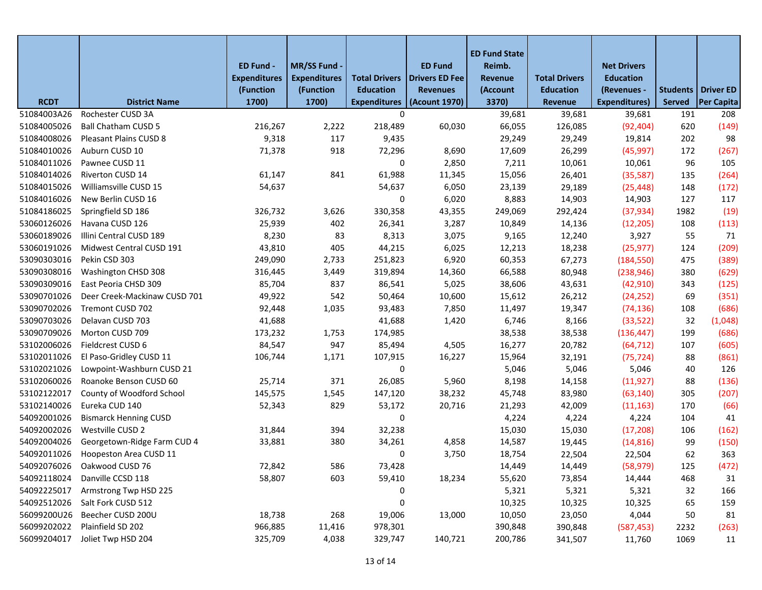|             |                              | ED Fund -<br><b>Expenditures</b> | MR/SS Fund -<br><b>Expenditures</b> | <b>Total Drivers</b> | <b>ED Fund</b><br><b>Drivers ED Fee</b> | <b>ED Fund State</b><br>Reimb.<br>Revenue | <b>Total Drivers</b> | <b>Net Drivers</b><br><b>Education</b> |               |                      |
|-------------|------------------------------|----------------------------------|-------------------------------------|----------------------|-----------------------------------------|-------------------------------------------|----------------------|----------------------------------------|---------------|----------------------|
|             |                              | (Function                        | (Function                           | <b>Education</b>     | <b>Revenues</b>                         | (Account                                  | <b>Education</b>     | (Revenues -                            |               | Students   Driver ED |
| <b>RCDT</b> | <b>District Name</b>         | 1700)                            | 1700)                               | <b>Expenditures</b>  | (Acount 1970)                           | 3370)                                     | <b>Revenue</b>       | <b>Expenditures)</b>                   | <b>Served</b> | <b>Per Capita</b>    |
| 51084003A26 | Rochester CUSD 3A            |                                  |                                     | 0                    |                                         | 39,681                                    | 39,681               | 39,681                                 | 191           | 208                  |
| 51084005026 | Ball Chatham CUSD 5          | 216,267                          | 2,222                               | 218,489              | 60,030                                  | 66,055                                    | 126,085              | (92, 404)                              | 620           | (149)                |
| 51084008026 | Pleasant Plains CUSD 8       | 9,318                            | 117                                 | 9,435                |                                         | 29,249                                    | 29,249               | 19,814                                 | 202           | 98                   |
| 51084010026 | Auburn CUSD 10               | 71,378                           | 918                                 | 72,296               | 8,690                                   | 17,609                                    | 26,299               | (45, 997)                              | 172           | (267)                |
| 51084011026 | Pawnee CUSD 11               |                                  |                                     | 0                    | 2,850                                   | 7,211                                     | 10,061               | 10,061                                 | 96            | 105                  |
| 51084014026 | Riverton CUSD 14             | 61,147                           | 841                                 | 61,988               | 11,345                                  | 15,056                                    | 26,401               | (35,587)                               | 135           | (264)                |
| 51084015026 | Williamsville CUSD 15        | 54,637                           |                                     | 54,637               | 6,050                                   | 23,139                                    | 29,189               | (25, 448)                              | 148           | (172)                |
| 51084016026 | New Berlin CUSD 16           |                                  |                                     | 0                    | 6,020                                   | 8,883                                     | 14,903               | 14,903                                 | 127           | 117                  |
| 51084186025 | Springfield SD 186           | 326,732                          | 3,626                               | 330,358              | 43,355                                  | 249,069                                   | 292,424              | (37, 934)                              | 1982          | (19)                 |
| 53060126026 | Havana CUSD 126              | 25,939                           | 402                                 | 26,341               | 3,287                                   | 10,849                                    | 14,136               | (12, 205)                              | 108           | (113)                |
| 53060189026 | Illini Central CUSD 189      | 8,230                            | 83                                  | 8,313                | 3,075                                   | 9,165                                     | 12,240               | 3,927                                  | 55            | 71                   |
| 53060191026 | Midwest Central CUSD 191     | 43,810                           | 405                                 | 44,215               | 6,025                                   | 12,213                                    | 18,238               | (25, 977)                              | 124           | (209)                |
| 53090303016 | Pekin CSD 303                | 249,090                          | 2,733                               | 251,823              | 6,920                                   | 60,353                                    | 67,273               | (184, 550)                             | 475           | (389)                |
| 53090308016 | Washington CHSD 308          | 316,445                          | 3,449                               | 319,894              | 14,360                                  | 66,588                                    | 80,948               | (238, 946)                             | 380           | (629)                |
| 53090309016 | East Peoria CHSD 309         | 85,704                           | 837                                 | 86,541               | 5,025                                   | 38,606                                    | 43,631               | (42, 910)                              | 343           | (125)                |
| 53090701026 | Deer Creek-Mackinaw CUSD 701 | 49,922                           | 542                                 | 50,464               | 10,600                                  | 15,612                                    | 26,212               | (24, 252)                              | 69            | (351)                |
| 53090702026 | Tremont CUSD 702             | 92,448                           | 1,035                               | 93,483               | 7,850                                   | 11,497                                    | 19,347               | (74, 136)                              | 108           | (686)                |
| 53090703026 | Delavan CUSD 703             | 41,688                           |                                     | 41,688               | 1,420                                   | 6,746                                     | 8,166                | (33, 522)                              | 32            | (1,048)              |
| 53090709026 | Morton CUSD 709              | 173,232                          | 1,753                               | 174,985              |                                         | 38,538                                    | 38,538               | (136, 447)                             | 199           | (686)                |
| 53102006026 | Fieldcrest CUSD 6            | 84,547                           | 947                                 | 85,494               | 4,505                                   | 16,277                                    | 20,782               | (64, 712)                              | 107           | (605)                |
| 53102011026 | El Paso-Gridley CUSD 11      | 106,744                          | 1,171                               | 107,915              | 16,227                                  | 15,964                                    | 32,191               | (75, 724)                              | 88            | (861)                |
| 53102021026 | Lowpoint-Washburn CUSD 21    |                                  |                                     | 0                    |                                         | 5,046                                     | 5,046                | 5,046                                  | 40            | 126                  |
| 53102060026 | Roanoke Benson CUSD 60       | 25,714                           | 371                                 | 26,085               | 5,960                                   | 8,198                                     | 14,158               | (11, 927)                              | 88            | (136)                |
| 53102122017 | County of Woodford School    | 145,575                          | 1,545                               | 147,120              | 38,232                                  | 45,748                                    | 83,980               | (63, 140)                              | 305           | (207)                |
| 53102140026 | Eureka CUD 140               | 52,343                           | 829                                 | 53,172               | 20,716                                  | 21,293                                    | 42,009               | (11, 163)                              | 170           | (66)                 |
| 54092001026 | <b>Bismarck Henning CUSD</b> |                                  |                                     | 0                    |                                         | 4,224                                     | 4,224                | 4,224                                  | 104           | 41                   |
| 54092002026 | Westville CUSD 2             | 31,844                           | 394                                 | 32,238               |                                         | 15,030                                    | 15,030               | (17, 208)                              | 106           | (162)                |
| 54092004026 | Georgetown-Ridge Farm CUD 4  | 33,881                           | 380                                 | 34,261               | 4,858                                   | 14,587                                    | 19,445               | (14, 816)                              | 99            | (150)                |
| 54092011026 | Hoopeston Area CUSD 11       |                                  |                                     | 0                    | 3,750                                   | 18,754                                    | 22,504               | 22,504                                 | 62            | 363                  |
|             | 54092076026 Oakwood CUSD 76  | 72,842                           | 586                                 | 73,428               |                                         | 14,449                                    | 14,449               | (58, 979)                              | 125           | (472)                |
| 54092118024 | Danville CCSD 118            | 58,807                           | 603                                 | 59,410               | 18,234                                  | 55,620                                    | 73,854               | 14,444                                 | 468           | 31                   |
| 54092225017 | Armstrong Twp HSD 225        |                                  |                                     | 0                    |                                         | 5,321                                     | 5,321                | 5,321                                  | 32            | 166                  |
| 54092512026 | Salt Fork CUSD 512           |                                  |                                     | 0                    |                                         | 10,325                                    | 10,325               | 10,325                                 | 65            | 159                  |
| 56099200U26 | Beecher CUSD 200U            | 18,738                           | 268                                 | 19,006               | 13,000                                  | 10,050                                    | 23,050               | 4,044                                  | 50            | 81                   |
| 56099202022 | Plainfield SD 202            | 966,885                          | 11,416                              | 978,301              |                                         | 390,848                                   | 390,848              | (587, 453)                             | 2232          | (263)                |
| 56099204017 | Joliet Twp HSD 204           | 325,709                          | 4,038                               | 329,747              | 140,721                                 | 200,786                                   | 341,507              | 11,760                                 | 1069          | 11                   |